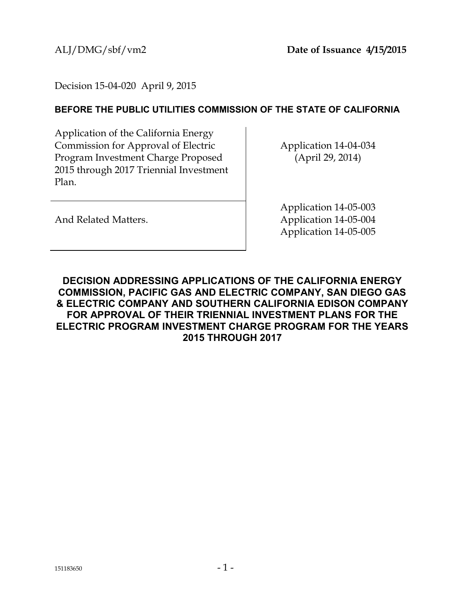Decision 15-04-020 April 9, 2015

# **BEFORE THE PUBLIC UTILITIES COMMISSION OF THE STATE OF CALIFORNIA**

Application of the California Energy Commission for Approval of Electric Program Investment Charge Proposed 2015 through 2017 Triennial Investment Plan.

Application 14-04-034 (April 29, 2014)

And Related Matters.

Application 14-05-003 Application 14-05-004 Application 14-05-005

<span id="page-0-0"></span>**DECISION ADDRESSING APPLICATIONS OF THE CALIFORNIA ENERGY COMMISSION, PACIFIC GAS AND ELECTRIC COMPANY, SAN DIEGO GAS & ELECTRIC COMPANY AND SOUTHERN CALIFORNIA EDISON COMPANY FOR APPROVAL OF THEIR TRIENNIAL INVESTMENT PLANS FOR THE ELECTRIC PROGRAM INVESTMENT CHARGE PROGRAM FOR THE YEARS 2015 THROUGH 2017**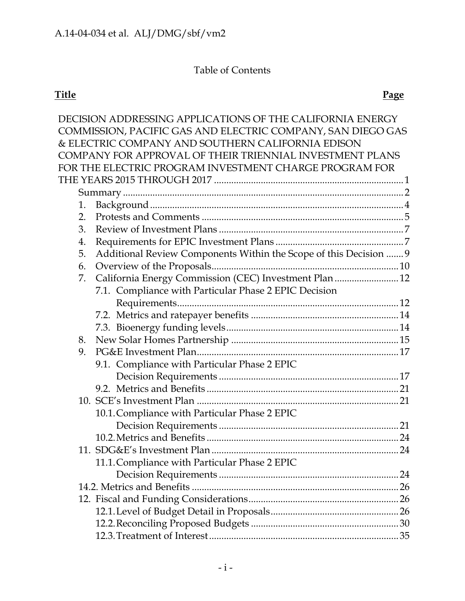# Table of Contents

# **Title Page**

|    | DECISION ADDRESSING APPLICATIONS OF THE CALIFORNIA ENERGY         |     |
|----|-------------------------------------------------------------------|-----|
|    | COMMISSION, PACIFIC GAS AND ELECTRIC COMPANY, SAN DIEGO GAS       |     |
|    | & ELECTRIC COMPANY AND SOUTHERN CALIFORNIA EDISON                 |     |
|    | COMPANY FOR APPROVAL OF THEIR TRIENNIAL INVESTMENT PLANS          |     |
|    | FOR THE ELECTRIC PROGRAM INVESTMENT CHARGE PROGRAM FOR            |     |
|    |                                                                   |     |
|    |                                                                   |     |
| 1. |                                                                   |     |
| 2. |                                                                   |     |
| 3. |                                                                   |     |
| 4. |                                                                   |     |
| 5. | Additional Review Components Within the Scope of this Decision  9 |     |
| 6. |                                                                   |     |
| 7. | California Energy Commission (CEC) Investment Plan 12             |     |
|    | 7.1. Compliance with Particular Phase 2 EPIC Decision             |     |
|    |                                                                   |     |
|    |                                                                   |     |
|    |                                                                   |     |
| 8. |                                                                   |     |
| 9. |                                                                   |     |
|    | 9.1. Compliance with Particular Phase 2 EPIC                      |     |
|    |                                                                   |     |
|    |                                                                   |     |
|    |                                                                   |     |
|    | 10.1. Compliance with Particular Phase 2 EPIC                     |     |
|    |                                                                   |     |
|    |                                                                   | 24  |
|    |                                                                   |     |
|    | 11.1. Compliance with Particular Phase 2 EPIC                     |     |
|    |                                                                   | .24 |
|    |                                                                   |     |
|    |                                                                   |     |
|    |                                                                   |     |
|    |                                                                   |     |
|    |                                                                   |     |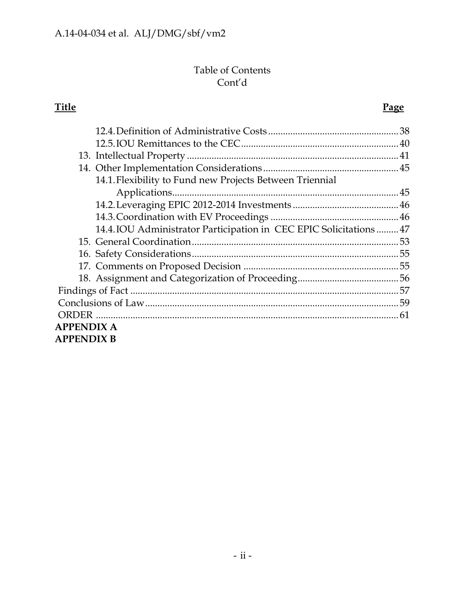# Table of Contents Cont'd

# **Title Page**

|                   | 14.1. Flexibility to Fund new Projects Between Triennial            |  |  |  |
|-------------------|---------------------------------------------------------------------|--|--|--|
|                   |                                                                     |  |  |  |
|                   |                                                                     |  |  |  |
|                   |                                                                     |  |  |  |
|                   | 14.4. IOU Administrator Participation in CEC EPIC Solicitations  47 |  |  |  |
|                   |                                                                     |  |  |  |
|                   |                                                                     |  |  |  |
|                   |                                                                     |  |  |  |
|                   |                                                                     |  |  |  |
|                   |                                                                     |  |  |  |
|                   |                                                                     |  |  |  |
| <b>ORDER</b>      |                                                                     |  |  |  |
| <b>APPENDIX A</b> |                                                                     |  |  |  |
| <b>APPENDIX B</b> |                                                                     |  |  |  |
|                   |                                                                     |  |  |  |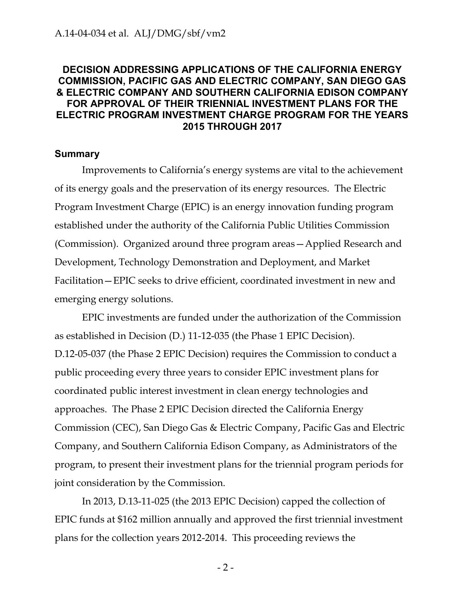# **DECISION ADDRESSING APPLICATIONS OF THE CALIFORNIA ENERGY COMMISSION, PACIFIC GAS AND ELECTRIC COMPANY, SAN DIEGO GAS & ELECTRIC COMPANY AND SOUTHERN CALIFORNIA EDISON COMPANY FOR APPROVAL OF THEIR TRIENNIAL INVESTMENT PLANS FOR THE ELECTRIC PROGRAM INVESTMENT CHARGE PROGRAM FOR THE YEARS 2015 THROUGH 2017**

#### <span id="page-3-0"></span>**Summary**

Improvements to California's energy systems are vital to the achievement of its energy goals and the preservation of its energy resources. The Electric Program Investment Charge (EPIC) is an energy innovation funding program established under the authority of the California Public Utilities Commission (Commission). Organized around three program areas—Applied Research and Development, Technology Demonstration and Deployment, and Market Facilitation—EPIC seeks to drive efficient, coordinated investment in new and emerging energy solutions.

EPIC investments are funded under the authorization of the Commission as established in Decision (D.) 11-12-035 (the Phase 1 EPIC Decision). D.12-05-037 (the Phase 2 EPIC Decision) requires the Commission to conduct a public proceeding every three years to consider EPIC investment plans for coordinated public interest investment in clean energy technologies and approaches. The Phase 2 EPIC Decision directed the California Energy Commission (CEC), San Diego Gas & Electric Company, Pacific Gas and Electric Company, and Southern California Edison Company, as Administrators of the program, to present their investment plans for the triennial program periods for joint consideration by the Commission.

In 2013, D.13-11-025 (the 2013 EPIC Decision) capped the collection of EPIC funds at \$162 million annually and approved the first triennial investment plans for the collection years 2012-2014. This proceeding reviews the

 $-2-$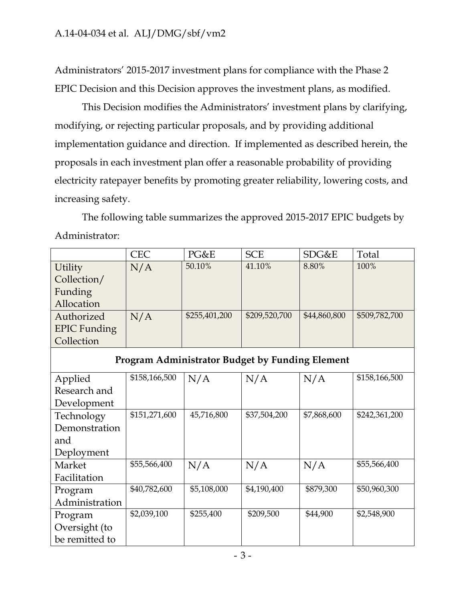Administrators' 2015-2017 investment plans for compliance with the Phase 2 EPIC Decision and this Decision approves the investment plans, as modified.

This Decision modifies the Administrators' investment plans by clarifying, modifying, or rejecting particular proposals, and by providing additional implementation guidance and direction. If implemented as described herein, the proposals in each investment plan offer a reasonable probability of providing electricity ratepayer benefits by promoting greater reliability, lowering costs, and increasing safety.

The following table summarizes the approved 2015-2017 EPIC budgets by Administrator:

|                                                        | <b>CEC</b>    | PG&E          | <b>SCE</b>    | SDG&E        | Total         |  |
|--------------------------------------------------------|---------------|---------------|---------------|--------------|---------------|--|
| Utility                                                | N/A           | 50.10%        | 41.10%        | 8.80%        | 100%          |  |
| Collection/                                            |               |               |               |              |               |  |
| Funding                                                |               |               |               |              |               |  |
| Allocation                                             |               |               |               |              |               |  |
| Authorized                                             | N/A           | \$255,401,200 | \$209,520,700 | \$44,860,800 | \$509,782,700 |  |
| <b>EPIC Funding</b>                                    |               |               |               |              |               |  |
| Collection                                             |               |               |               |              |               |  |
| <b>Program Administrator Budget by Funding Element</b> |               |               |               |              |               |  |
| Applied                                                | \$158,166,500 | N/A           | N/A           | N/A          | \$158,166,500 |  |
| Research and                                           |               |               |               |              |               |  |
| Development                                            |               |               |               |              |               |  |
| Technology                                             | \$151,271,600 | 45,716,800    | \$37,504,200  | \$7,868,600  | \$242,361,200 |  |
| Demonstration                                          |               |               |               |              |               |  |
| and                                                    |               |               |               |              |               |  |
| Deployment                                             |               |               |               |              |               |  |
| Market                                                 | \$55,566,400  | N/A           | N/A           | N/A          | \$55,566,400  |  |
| Facilitation                                           |               |               |               |              |               |  |
| Program                                                | \$40,782,600  | \$5,108,000   | \$4,190,400   | \$879,300    | \$50,960,300  |  |
| Administration                                         |               |               |               |              |               |  |
| Program                                                | \$2,039,100   | \$255,400     | \$209,500     | \$44,900     | \$2,548,900   |  |
| Oversight (to                                          |               |               |               |              |               |  |
| be remitted to                                         |               |               |               |              |               |  |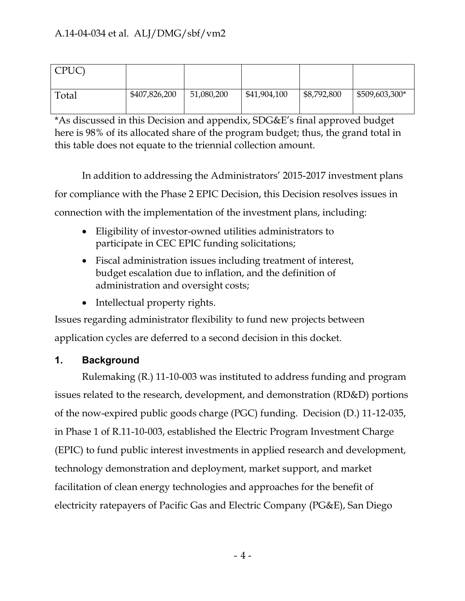| CPUC) |               |            |              |             |                |
|-------|---------------|------------|--------------|-------------|----------------|
| Total | \$407,826,200 | 51,080,200 | \$41,904,100 | \$8,792,800 | \$509,603,300* |

\*As discussed in this Decision and appendix, SDG&E's final approved budget here is 98% of its allocated share of the program budget; thus, the grand total in this table does not equate to the triennial collection amount.

In addition to addressing the Administrators' 2015-2017 investment plans for compliance with the Phase 2 EPIC Decision, this Decision resolves issues in connection with the implementation of the investment plans, including:

- Eligibility of investor-owned utilities administrators to participate in CEC EPIC funding solicitations;
- Fiscal administration issues including treatment of interest, budget escalation due to inflation, and the definition of administration and oversight costs;
- Intellectual property rights.

Issues regarding administrator flexibility to fund new projects between application cycles are deferred to a second decision in this docket.

# <span id="page-5-0"></span>**1. Background**

Rulemaking (R.) 11-10-003 was instituted to address funding and program issues related to the research, development, and demonstration (RD&D) portions of the now-expired public goods charge (PGC) funding. Decision (D.) 11-12-035, in Phase 1 of R.11-10-003, established the Electric Program Investment Charge (EPIC) to fund public interest investments in applied research and development, technology demonstration and deployment, market support, and market facilitation of clean energy technologies and approaches for the benefit of electricity ratepayers of Pacific Gas and Electric Company (PG&E), San Diego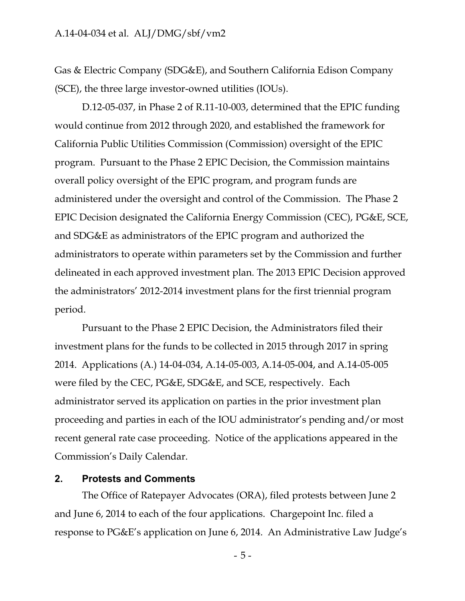Gas & Electric Company (SDG&E), and Southern California Edison Company (SCE), the three large investor-owned utilities (IOUs).

D.12-05-037, in Phase 2 of R.11-10-003, determined that the EPIC funding would continue from 2012 through 2020, and established the framework for California Public Utilities Commission (Commission) oversight of the EPIC program. Pursuant to the Phase 2 EPIC Decision, the Commission maintains overall policy oversight of the EPIC program, and program funds are administered under the oversight and control of the Commission. The Phase 2 EPIC Decision designated the California Energy Commission (CEC), PG&E, SCE, and SDG&E as administrators of the EPIC program and authorized the administrators to operate within parameters set by the Commission and further delineated in each approved investment plan. The 2013 EPIC Decision approved the administrators' 2012-2014 investment plans for the first triennial program period.

Pursuant to the Phase 2 EPIC Decision, the Administrators filed their investment plans for the funds to be collected in 2015 through 2017 in spring 2014. Applications (A.) 14-04-034, A.14-05-003, A.14-05-004, and A.14-05-005 were filed by the CEC, PG&E, SDG&E, and SCE, respectively. Each administrator served its application on parties in the prior investment plan proceeding and parties in each of the IOU administrator's pending and/or most recent general rate case proceeding. Notice of the applications appeared in the Commission's Daily Calendar.

#### <span id="page-6-0"></span>**2. Protests and Comments**

The Office of Ratepayer Advocates (ORA), filed protests between June 2 and June 6, 2014 to each of the four applications. Chargepoint Inc. filed a response to PG&E's application on June 6, 2014. An Administrative Law Judge's

- 5 -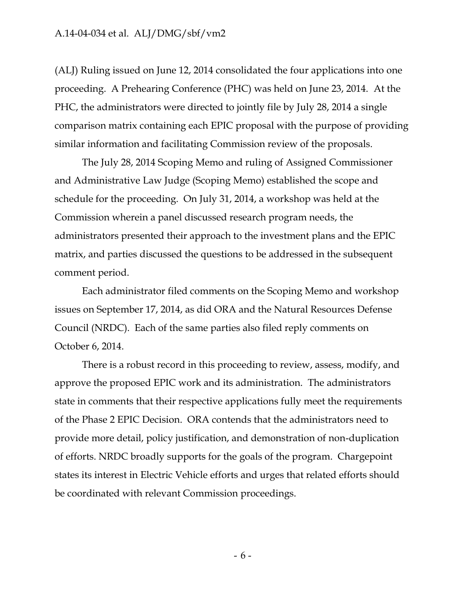(ALJ) Ruling issued on June 12, 2014 consolidated the four applications into one proceeding. A Prehearing Conference (PHC) was held on June 23, 2014. At the PHC, the administrators were directed to jointly file by July 28, 2014 a single comparison matrix containing each EPIC proposal with the purpose of providing similar information and facilitating Commission review of the proposals.

The July 28, 2014 Scoping Memo and ruling of Assigned Commissioner and Administrative Law Judge (Scoping Memo) established the scope and schedule for the proceeding. On July 31, 2014, a workshop was held at the Commission wherein a panel discussed research program needs, the administrators presented their approach to the investment plans and the EPIC matrix, and parties discussed the questions to be addressed in the subsequent comment period.

Each administrator filed comments on the Scoping Memo and workshop issues on September 17, 2014, as did ORA and the Natural Resources Defense Council (NRDC). Each of the same parties also filed reply comments on October 6, 2014.

There is a robust record in this proceeding to review, assess, modify, and approve the proposed EPIC work and its administration. The administrators state in comments that their respective applications fully meet the requirements of the Phase 2 EPIC Decision. ORA contends that the administrators need to provide more detail, policy justification, and demonstration of non-duplication of efforts. NRDC broadly supports for the goals of the program. Chargepoint states its interest in Electric Vehicle efforts and urges that related efforts should be coordinated with relevant Commission proceedings.

- 6 -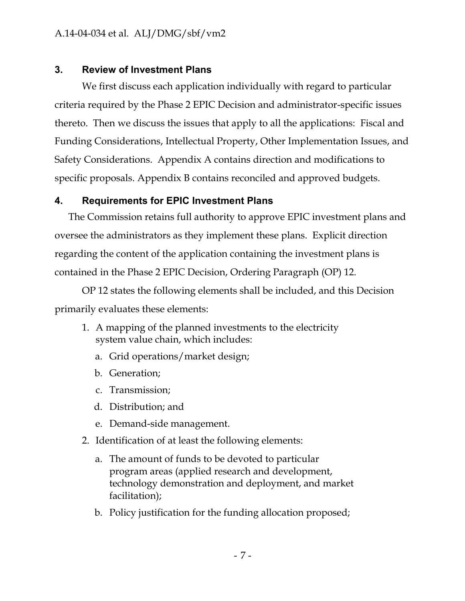# <span id="page-8-0"></span>**3. Review of Investment Plans**

We first discuss each application individually with regard to particular criteria required by the Phase 2 EPIC Decision and administrator-specific issues thereto. Then we discuss the issues that apply to all the applications: Fiscal and Funding Considerations, Intellectual Property, Other Implementation Issues, and Safety Considerations. Appendix A contains direction and modifications to specific proposals. Appendix B contains reconciled and approved budgets.

# <span id="page-8-1"></span>**4. Requirements for EPIC Investment Plans**

The Commission retains full authority to approve EPIC investment plans and oversee the administrators as they implement these plans. Explicit direction regarding the content of the application containing the investment plans is contained in the Phase 2 EPIC Decision, Ordering Paragraph (OP) 12.

OP 12 states the following elements shall be included, and this Decision primarily evaluates these elements:

- 1. A mapping of the planned investments to the electricity system value chain, which includes:
	- a. Grid operations/market design;
	- b. Generation;
	- c. Transmission;
	- d. Distribution; and
	- e. Demand-side management.
- 2. Identification of at least the following elements:
	- a. The amount of funds to be devoted to particular program areas (applied research and development, technology demonstration and deployment, and market facilitation);
	- b. Policy justification for the funding allocation proposed;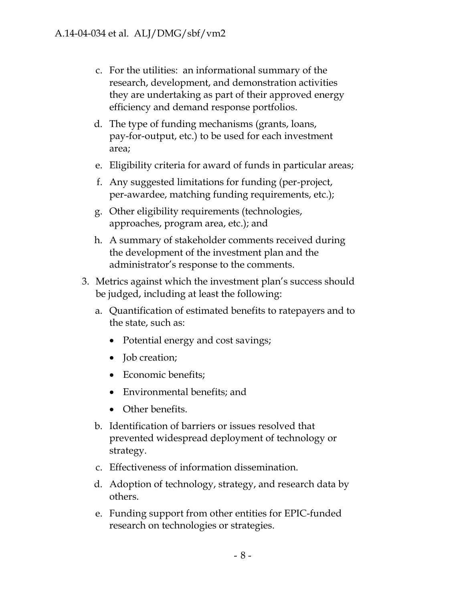- c. For the utilities: an informational summary of the research, development, and demonstration activities they are undertaking as part of their approved energy efficiency and demand response portfolios.
- d. The type of funding mechanisms (grants, loans, pay-for-output, etc.) to be used for each investment area;
- e. Eligibility criteria for award of funds in particular areas;
- f. Any suggested limitations for funding (per-project, per-awardee, matching funding requirements, etc.);
- g. Other eligibility requirements (technologies, approaches, program area, etc.); and
- h. A summary of stakeholder comments received during the development of the investment plan and the administrator's response to the comments.
- 3. Metrics against which the investment plan's success should be judged, including at least the following:
	- a. Quantification of estimated benefits to ratepayers and to the state, such as:
		- Potential energy and cost savings;
		- Job creation;
		- Economic benefits;
		- Environmental benefits; and
		- Other benefits.
	- b. Identification of barriers or issues resolved that prevented widespread deployment of technology or strategy.
	- c. Effectiveness of information dissemination.
	- d. Adoption of technology, strategy, and research data by others.
	- e. Funding support from other entities for EPIC-funded research on technologies or strategies.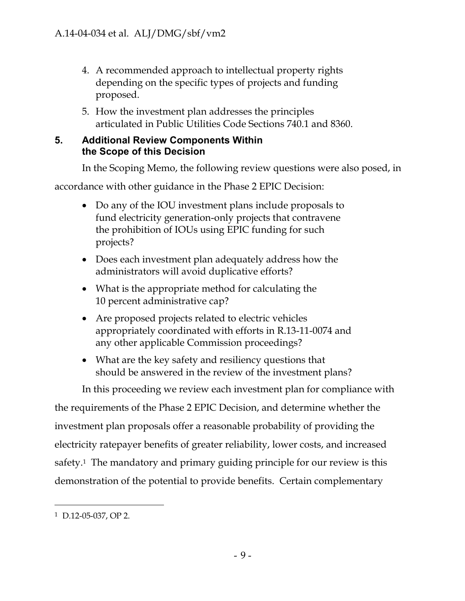- 4. A recommended approach to intellectual property rights depending on the specific types of projects and funding proposed.
- 5. How the investment plan addresses the principles articulated in Public Utilities Code Sections 740.1 and 8360.

# <span id="page-10-0"></span>**5. Additional Review Components Within the Scope of this Decision**

In the Scoping Memo, the following review questions were also posed, in

accordance with other guidance in the Phase 2 EPIC Decision:

- Do any of the IOU investment plans include proposals to fund electricity generation-only projects that contravene the prohibition of IOUs using EPIC funding for such projects?
- Does each investment plan adequately address how the administrators will avoid duplicative efforts?
- What is the appropriate method for calculating the 10 percent administrative cap?
- Are proposed projects related to electric vehicles appropriately coordinated with efforts in R.13-11-0074 and any other applicable Commission proceedings?
- What are the key safety and resiliency questions that should be answered in the review of the investment plans?

In this proceeding we review each investment plan for compliance with the requirements of the Phase 2 EPIC Decision, and determine whether the investment plan proposals offer a reasonable probability of providing the electricity ratepayer benefits of greater reliability, lower costs, and increased safety.<sup>1</sup> The mandatory and primary guiding principle for our review is this demonstration of the potential to provide benefits. Certain complementary

<sup>1</sup> D.12-05-037, OP 2.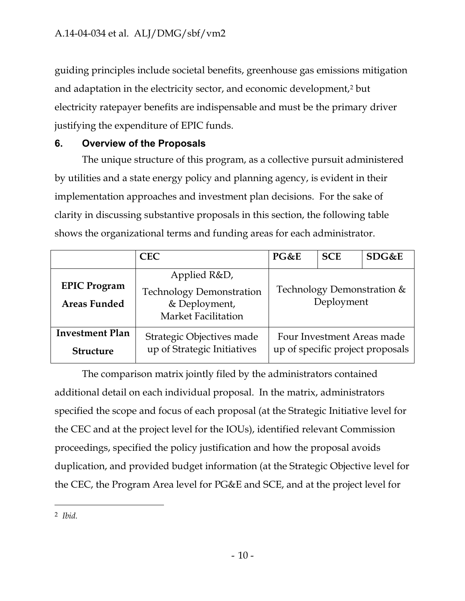guiding principles include societal benefits, greenhouse gas emissions mitigation and adaptation in the electricity sector, and economic development,<sup>2</sup> but electricity ratepayer benefits are indispensable and must be the primary driver justifying the expenditure of EPIC funds.

# <span id="page-11-0"></span>**6. Overview of the Proposals**

The unique structure of this program, as a collective pursuit administered by utilities and a state energy policy and planning agency, is evident in their implementation approaches and investment plan decisions. For the sake of clarity in discussing substantive proposals in this section, the following table shows the organizational terms and funding areas for each administrator.

|                                            | <b>CEC</b>                                                                              | PG&E                                                           | <b>SCE</b> | SDG&E |
|--------------------------------------------|-----------------------------------------------------------------------------------------|----------------------------------------------------------------|------------|-------|
| <b>EPIC Program</b><br><b>Areas Funded</b> | Applied R&D,<br><b>Technology Demonstration</b><br>& Deployment,<br>Market Facilitation | Technology Demonstration &<br>Deployment                       |            |       |
| <b>Investment Plan</b><br><b>Structure</b> | Strategic Objectives made<br>up of Strategic Initiatives                                | Four Investment Areas made<br>up of specific project proposals |            |       |

The comparison matrix jointly filed by the administrators contained additional detail on each individual proposal. In the matrix, administrators specified the scope and focus of each proposal (at the Strategic Initiative level for the CEC and at the project level for the IOUs), identified relevant Commission proceedings, specified the policy justification and how the proposal avoids duplication, and provided budget information (at the Strategic Objective level for the CEC, the Program Area level for PG&E and SCE, and at the project level for

 $\overline{a}$ 2 *Ibid.*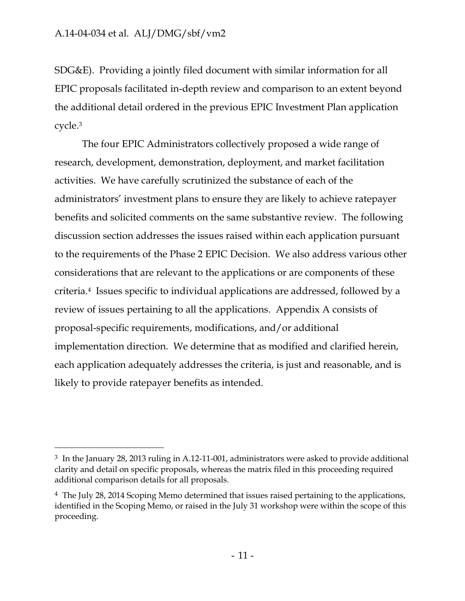$\overline{a}$ 

SDG&E). Providing a jointly filed document with similar information for all EPIC proposals facilitated in-depth review and comparison to an extent beyond the additional detail ordered in the previous EPIC Investment Plan application cycle.<sup>3</sup>

The four EPIC Administrators collectively proposed a wide range of research, development, demonstration, deployment, and market facilitation activities. We have carefully scrutinized the substance of each of the administrators' investment plans to ensure they are likely to achieve ratepayer benefits and solicited comments on the same substantive review. The following discussion section addresses the issues raised within each application pursuant to the requirements of the Phase 2 EPIC Decision. We also address various other considerations that are relevant to the applications or are components of these criteria.<sup>4</sup> Issues specific to individual applications are addressed, followed by a review of issues pertaining to all the applications. Appendix A consists of proposal-specific requirements, modifications, and/or additional implementation direction. We determine that as modified and clarified herein, each application adequately addresses the criteria, is just and reasonable, and is likely to provide ratepayer benefits as intended.

<sup>3</sup> In the January 28, 2013 ruling in A.12-11-001, administrators were asked to provide additional clarity and detail on specific proposals, whereas the matrix filed in this proceeding required additional comparison details for all proposals.

<sup>4</sup> The July 28, 2014 Scoping Memo determined that issues raised pertaining to the applications, identified in the Scoping Memo, or raised in the July 31 workshop were within the scope of this proceeding.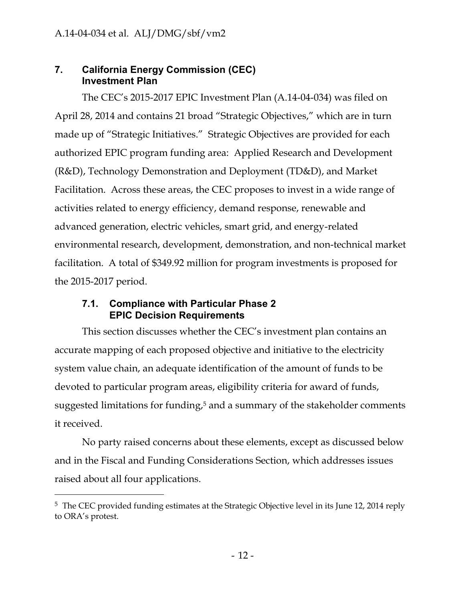# <span id="page-13-0"></span>**7. California Energy Commission (CEC) Investment Plan**

The CEC's 2015-2017 EPIC Investment Plan (A.14-04-034) was filed on April 28, 2014 and contains 21 broad "Strategic Objectives," which are in turn made up of "Strategic Initiatives." Strategic Objectives are provided for each authorized EPIC program funding area: Applied Research and Development (R&D), Technology Demonstration and Deployment (TD&D), and Market Facilitation. Across these areas, the CEC proposes to invest in a wide range of activities related to energy efficiency, demand response, renewable and advanced generation, electric vehicles, smart grid, and energy-related environmental research, development, demonstration, and non-technical market facilitation. A total of \$349.92 million for program investments is proposed for the 2015-2017 period.

# <span id="page-13-1"></span>**7.1. Compliance with Particular Phase 2 EPIC Decision Requirements**

 $\overline{a}$ 

This section discusses whether the CEC's investment plan contains an accurate mapping of each proposed objective and initiative to the electricity system value chain, an adequate identification of the amount of funds to be devoted to particular program areas, eligibility criteria for award of funds, suggested limitations for funding, <sup>5</sup> and a summary of the stakeholder comments it received.

No party raised concerns about these elements, except as discussed below and in the Fiscal and Funding Considerations Section, which addresses issues raised about all four applications.

<sup>&</sup>lt;sup>5</sup> The CEC provided funding estimates at the Strategic Objective level in its June 12, 2014 reply to ORA's protest.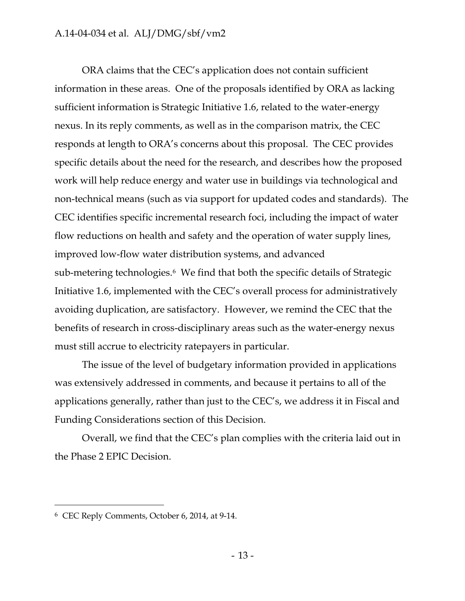ORA claims that the CEC's application does not contain sufficient information in these areas. One of the proposals identified by ORA as lacking sufficient information is Strategic Initiative 1.6, related to the water-energy nexus. In its reply comments, as well as in the comparison matrix, the CEC responds at length to ORA's concerns about this proposal. The CEC provides specific details about the need for the research, and describes how the proposed work will help reduce energy and water use in buildings via technological and non-technical means (such as via support for updated codes and standards). The CEC identifies specific incremental research foci, including the impact of water flow reductions on health and safety and the operation of water supply lines, improved low-flow water distribution systems, and advanced sub-metering technologies.<sup>6</sup> We find that both the specific details of Strategic Initiative 1.6, implemented with the CEC's overall process for administratively avoiding duplication, are satisfactory. However, we remind the CEC that the benefits of research in cross-disciplinary areas such as the water-energy nexus must still accrue to electricity ratepayers in particular.

The issue of the level of budgetary information provided in applications was extensively addressed in comments, and because it pertains to all of the applications generally, rather than just to the CEC's, we address it in Fiscal and Funding Considerations section of this Decision.

Overall, we find that the CEC's plan complies with the criteria laid out in the Phase 2 EPIC Decision.

<sup>6</sup> CEC Reply Comments, October 6, 2014, at 9-14.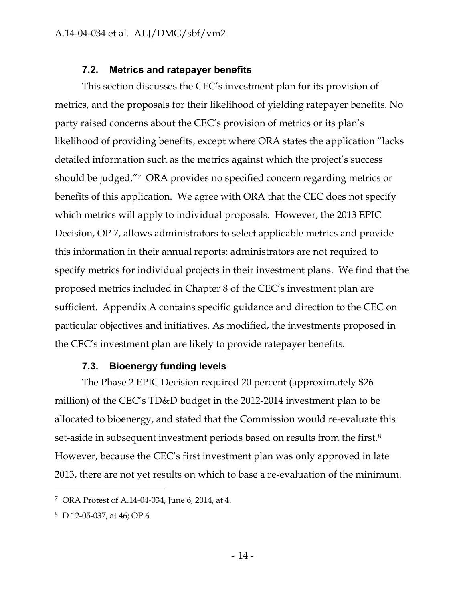#### **7.2. Metrics and ratepayer benefits**

<span id="page-15-0"></span>This section discusses the CEC's investment plan for its provision of metrics, and the proposals for their likelihood of yielding ratepayer benefits. No party raised concerns about the CEC's provision of metrics or its plan's likelihood of providing benefits, except where ORA states the application "lacks detailed information such as the metrics against which the project's success should be judged."<sup>7</sup> ORA provides no specified concern regarding metrics or benefits of this application. We agree with ORA that the CEC does not specify which metrics will apply to individual proposals. However, the 2013 EPIC Decision, OP 7, allows administrators to select applicable metrics and provide this information in their annual reports; administrators are not required to specify metrics for individual projects in their investment plans. We find that the proposed metrics included in Chapter 8 of the CEC's investment plan are sufficient. Appendix A contains specific guidance and direction to the CEC on particular objectives and initiatives. As modified, the investments proposed in the CEC's investment plan are likely to provide ratepayer benefits.

#### **7.3. Bioenergy funding levels**

<span id="page-15-1"></span>The Phase 2 EPIC Decision required 20 percent (approximately \$26 million) of the CEC's TD&D budget in the 2012-2014 investment plan to be allocated to bioenergy, and stated that the Commission would re-evaluate this set-aside in subsequent investment periods based on results from the first.<sup>8</sup> However, because the CEC's first investment plan was only approved in late 2013, there are not yet results on which to base a re-evaluation of the minimum.

<sup>7</sup> ORA Protest of A.14-04-034, June 6, 2014, at 4.

<sup>8</sup> D.12-05-037, at 46; OP 6.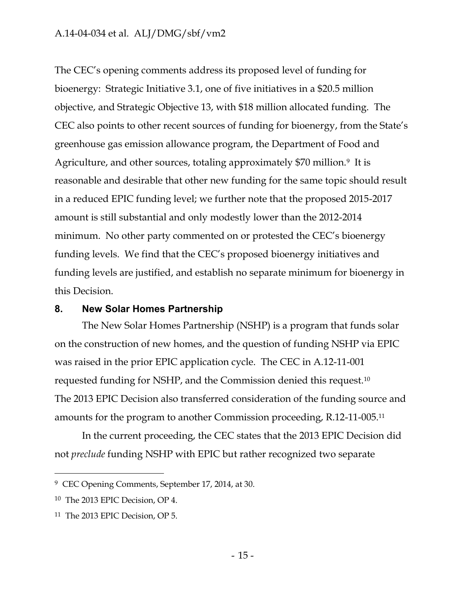The CEC's opening comments address its proposed level of funding for bioenergy: Strategic Initiative 3.1, one of five initiatives in a \$20.5 million objective, and Strategic Objective 13, with \$18 million allocated funding. The CEC also points to other recent sources of funding for bioenergy, from the State's greenhouse gas emission allowance program, the Department of Food and Agriculture, and other sources, totaling approximately \$70 million.<sup>9</sup> It is reasonable and desirable that other new funding for the same topic should result in a reduced EPIC funding level; we further note that the proposed 2015-2017 amount is still substantial and only modestly lower than the 2012-2014 minimum. No other party commented on or protested the CEC's bioenergy funding levels. We find that the CEC's proposed bioenergy initiatives and funding levels are justified, and establish no separate minimum for bioenergy in this Decision.

#### <span id="page-16-0"></span>**8. New Solar Homes Partnership**

The New Solar Homes Partnership (NSHP) is a program that funds solar on the construction of new homes, and the question of funding NSHP via EPIC was raised in the prior EPIC application cycle. The CEC in A.12-11-001 requested funding for NSHP, and the Commission denied this request.<sup>10</sup> The 2013 EPIC Decision also transferred consideration of the funding source and amounts for the program to another Commission proceeding, R.12-11-005.<sup>11</sup>

In the current proceeding, the CEC states that the 2013 EPIC Decision did not *preclude* funding NSHP with EPIC but rather recognized two separate

<sup>9</sup> CEC Opening Comments, September 17, 2014, at 30.

<sup>10</sup> The 2013 EPIC Decision, OP 4.

<sup>11</sup> The 2013 EPIC Decision, OP 5.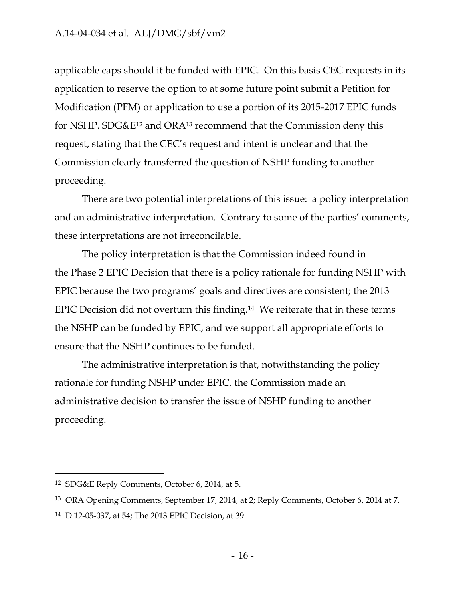applicable caps should it be funded with EPIC. On this basis CEC requests in its application to reserve the option to at some future point submit a Petition for Modification (PFM) or application to use a portion of its 2015-2017 EPIC funds for NSHP. SDG&E<sup>12</sup> and ORA<sup>13</sup> recommend that the Commission deny this request, stating that the CEC's request and intent is unclear and that the Commission clearly transferred the question of NSHP funding to another proceeding.

There are two potential interpretations of this issue: a policy interpretation and an administrative interpretation. Contrary to some of the parties' comments, these interpretations are not irreconcilable.

The policy interpretation is that the Commission indeed found in the Phase 2 EPIC Decision that there is a policy rationale for funding NSHP with EPIC because the two programs' goals and directives are consistent; the 2013 EPIC Decision did not overturn this finding.<sup>14</sup> We reiterate that in these terms the NSHP can be funded by EPIC, and we support all appropriate efforts to ensure that the NSHP continues to be funded.

The administrative interpretation is that, notwithstanding the policy rationale for funding NSHP under EPIC, the Commission made an administrative decision to transfer the issue of NSHP funding to another proceeding.

<sup>12</sup> SDG&E Reply Comments, October 6, 2014, at 5.

<sup>13</sup> ORA Opening Comments, September 17, 2014, at 2; Reply Comments, October 6, 2014 at 7.

<sup>14</sup> D.12-05-037, at 54; The 2013 EPIC Decision, at 39.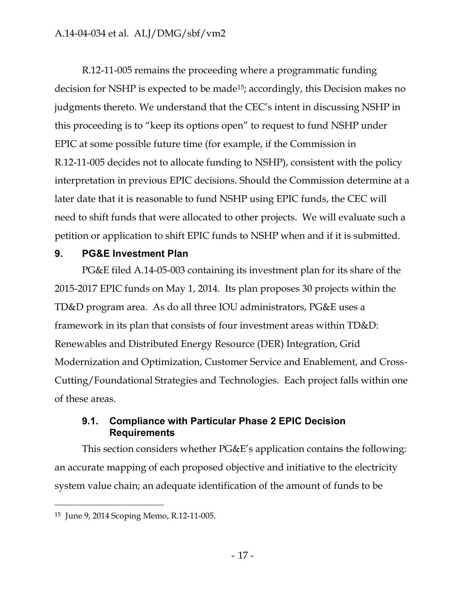R.12-11-005 remains the proceeding where a programmatic funding decision for NSHP is expected to be made15; accordingly, this Decision makes no judgments thereto. We understand that the CEC's intent in discussing NSHP in this proceeding is to "keep its options open" to request to fund NSHP under EPIC at some possible future time (for example, if the Commission in R.12-11-005 decides not to allocate funding to NSHP), consistent with the policy interpretation in previous EPIC decisions. Should the Commission determine at a later date that it is reasonable to fund NSHP using EPIC funds, the CEC will need to shift funds that were allocated to other projects. We will evaluate such a petition or application to shift EPIC funds to NSHP when and if it is submitted.

# <span id="page-18-0"></span>**9. PG&E Investment Plan**

PG&E filed A.14-05-003 containing its investment plan for its share of the 2015-2017 EPIC funds on May 1, 2014. Its plan proposes 30 projects within the TD&D program area. As do all three IOU administrators, PG&E uses a framework in its plan that consists of four investment areas within TD&D: Renewables and Distributed Energy Resource (DER) Integration, Grid Modernization and Optimization, Customer Service and Enablement, and Cross-Cutting/Foundational Strategies and Technologies. Each project falls within one of these areas.

# <span id="page-18-1"></span>**9.1. Compliance with Particular Phase 2 EPIC Decision Requirements**

This section considers whether PG&E's application contains the following: an accurate mapping of each proposed objective and initiative to the electricity system value chain; an adequate identification of the amount of funds to be

<sup>15</sup> June 9, 2014 Scoping Memo, R.12-11-005.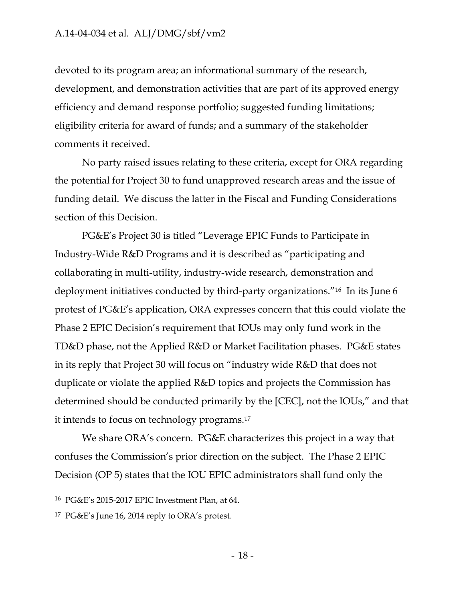devoted to its program area; an informational summary of the research, development, and demonstration activities that are part of its approved energy efficiency and demand response portfolio; suggested funding limitations; eligibility criteria for award of funds; and a summary of the stakeholder comments it received.

No party raised issues relating to these criteria, except for ORA regarding the potential for Project 30 to fund unapproved research areas and the issue of funding detail. We discuss the latter in the Fiscal and Funding Considerations section of this Decision.

PG&E's Project 30 is titled "Leverage EPIC Funds to Participate in Industry-Wide R&D Programs and it is described as "participating and collaborating in multi-utility, industry-wide research, demonstration and deployment initiatives conducted by third-party organizations."<sup>16</sup> In its June 6 protest of PG&E's application, ORA expresses concern that this could violate the Phase 2 EPIC Decision's requirement that IOUs may only fund work in the TD&D phase, not the Applied R&D or Market Facilitation phases. PG&E states in its reply that Project 30 will focus on "industry wide R&D that does not duplicate or violate the applied R&D topics and projects the Commission has determined should be conducted primarily by the [CEC], not the IOUs," and that it intends to focus on technology programs.<sup>17</sup>

We share ORA's concern. PG&E characterizes this project in a way that confuses the Commission's prior direction on the subject. The Phase 2 EPIC Decision (OP 5) states that the IOU EPIC administrators shall fund only the

<sup>16</sup> PG&E's 2015-2017 EPIC Investment Plan, at 64.

<sup>17</sup> PG&E's June 16, 2014 reply to ORA's protest.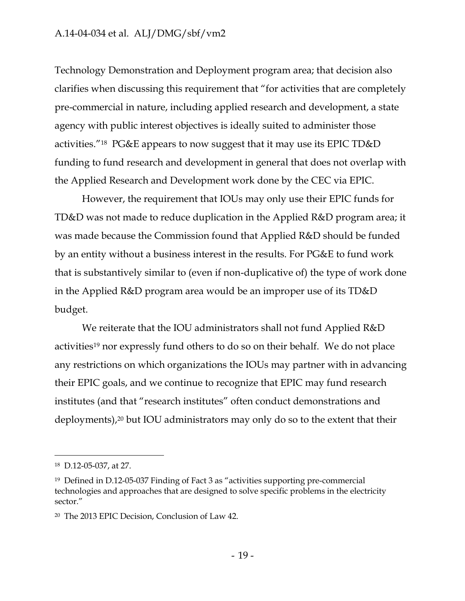Technology Demonstration and Deployment program area; that decision also clarifies when discussing this requirement that "for activities that are completely pre-commercial in nature, including applied research and development, a state agency with public interest objectives is ideally suited to administer those activities."18 PG&E appears to now suggest that it may use its EPIC TD&D funding to fund research and development in general that does not overlap with the Applied Research and Development work done by the CEC via EPIC.

However, the requirement that IOUs may only use their EPIC funds for TD&D was not made to reduce duplication in the Applied R&D program area; it was made because the Commission found that Applied R&D should be funded by an entity without a business interest in the results. For PG&E to fund work that is substantively similar to (even if non-duplicative of) the type of work done in the Applied R&D program area would be an improper use of its TD&D budget.

We reiterate that the IOU administrators shall not fund Applied R&D activities<sup>19</sup> nor expressly fund others to do so on their behalf. We do not place any restrictions on which organizations the IOUs may partner with in advancing their EPIC goals, and we continue to recognize that EPIC may fund research institutes (and that "research institutes" often conduct demonstrations and deployments),<sup>20</sup> but IOU administrators may only do so to the extent that their

<sup>18</sup> D.12-05-037, at 27.

<sup>19</sup> Defined in D.12-05-037 Finding of Fact 3 as "activities supporting pre-commercial technologies and approaches that are designed to solve specific problems in the electricity sector."

<sup>20</sup> The 2013 EPIC Decision, Conclusion of Law 42.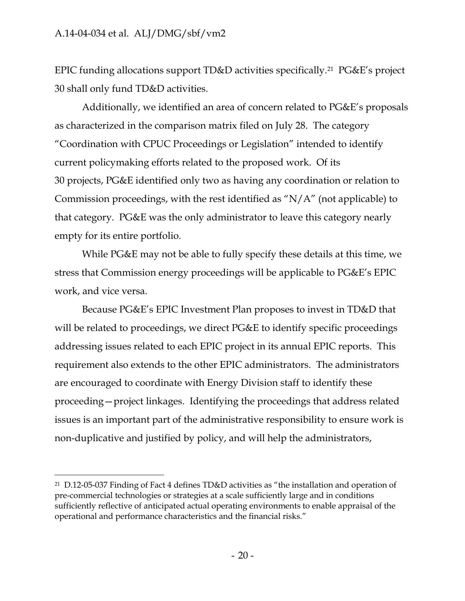$\overline{a}$ 

EPIC funding allocations support TD&D activities specifically.<sup>21</sup> PG&E's project 30 shall only fund TD&D activities.

Additionally, we identified an area of concern related to PG&E's proposals as characterized in the comparison matrix filed on July 28. The category "Coordination with CPUC Proceedings or Legislation" intended to identify current policymaking efforts related to the proposed work. Of its 30 projects, PG&E identified only two as having any coordination or relation to Commission proceedings, with the rest identified as "N/A" (not applicable) to that category. PG&E was the only administrator to leave this category nearly empty for its entire portfolio.

While PG&E may not be able to fully specify these details at this time, we stress that Commission energy proceedings will be applicable to PG&E's EPIC work, and vice versa.

Because PG&E's EPIC Investment Plan proposes to invest in TD&D that will be related to proceedings, we direct PG&E to identify specific proceedings addressing issues related to each EPIC project in its annual EPIC reports. This requirement also extends to the other EPIC administrators. The administrators are encouraged to coordinate with Energy Division staff to identify these proceeding—project linkages. Identifying the proceedings that address related issues is an important part of the administrative responsibility to ensure work is non-duplicative and justified by policy, and will help the administrators,

<sup>21</sup> D.12-05-037 Finding of Fact 4 defines TD&D activities as "the installation and operation of pre-commercial technologies or strategies at a scale sufficiently large and in conditions sufficiently reflective of anticipated actual operating environments to enable appraisal of the operational and performance characteristics and the financial risks."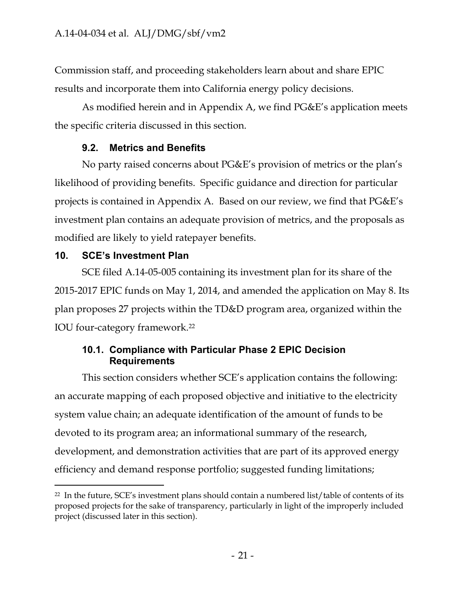Commission staff, and proceeding stakeholders learn about and share EPIC results and incorporate them into California energy policy decisions.

As modified herein and in Appendix A, we find PG&E's application meets the specific criteria discussed in this section.

# **9.2. Metrics and Benefits**

<span id="page-22-0"></span>No party raised concerns about PG&E's provision of metrics or the plan's likelihood of providing benefits. Specific guidance and direction for particular projects is contained in Appendix A. Based on our review, we find that PG&E's investment plan contains an adequate provision of metrics, and the proposals as modified are likely to yield ratepayer benefits.

# <span id="page-22-1"></span>**10. SCE's Investment Plan**

 $\overline{a}$ 

SCE filed A.14-05-005 containing its investment plan for its share of the 2015-2017 EPIC funds on May 1, 2014, and amended the application on May 8. Its plan proposes 27 projects within the TD&D program area, organized within the IOU four-category framework.<sup>22</sup>

# <span id="page-22-2"></span>**10.1. Compliance with Particular Phase 2 EPIC Decision Requirements**

This section considers whether SCE's application contains the following: an accurate mapping of each proposed objective and initiative to the electricity system value chain; an adequate identification of the amount of funds to be devoted to its program area; an informational summary of the research, development, and demonstration activities that are part of its approved energy efficiency and demand response portfolio; suggested funding limitations;

<sup>22</sup> In the future, SCE's investment plans should contain a numbered list/table of contents of its proposed projects for the sake of transparency, particularly in light of the improperly included project (discussed later in this section).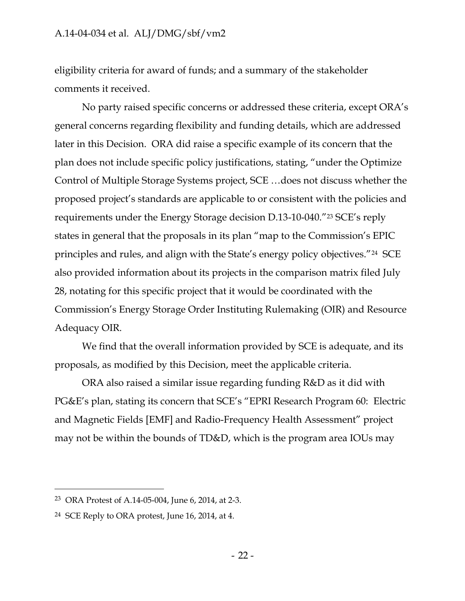eligibility criteria for award of funds; and a summary of the stakeholder comments it received.

No party raised specific concerns or addressed these criteria, except ORA's general concerns regarding flexibility and funding details, which are addressed later in this Decision. ORA did raise a specific example of its concern that the plan does not include specific policy justifications, stating, "under the Optimize Control of Multiple Storage Systems project, SCE …does not discuss whether the proposed project's standards are applicable to or consistent with the policies and requirements under the Energy Storage decision D.13-10-040."<sup>23</sup> SCE's reply states in general that the proposals in its plan "map to the Commission's EPIC principles and rules, and align with the State's energy policy objectives."<sup>24</sup> SCE also provided information about its projects in the comparison matrix filed July 28, notating for this specific project that it would be coordinated with the Commission's Energy Storage Order Instituting Rulemaking (OIR) and Resource Adequacy OIR.

We find that the overall information provided by SCE is adequate, and its proposals, as modified by this Decision, meet the applicable criteria.

ORA also raised a similar issue regarding funding R&D as it did with PG&E's plan, stating its concern that SCE's "EPRI Research Program 60: Electric and Magnetic Fields [EMF] and Radio-Frequency Health Assessment" project may not be within the bounds of TD&D, which is the program area IOUs may

<sup>23</sup> ORA Protest of A.14-05-004, June 6, 2014, at 2-3.

<sup>24</sup> SCE Reply to ORA protest, June 16, 2014, at 4.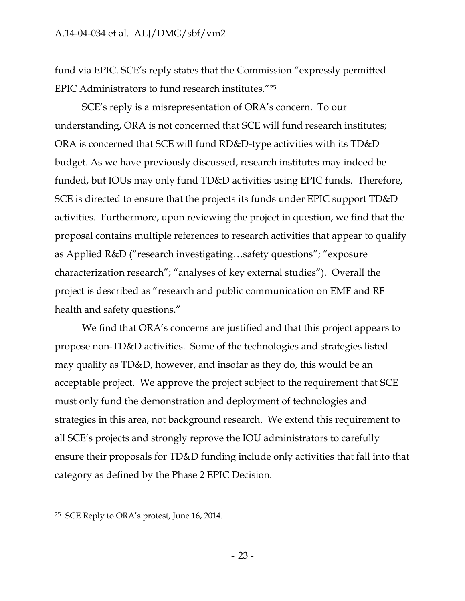fund via EPIC. SCE's reply states that the Commission "expressly permitted EPIC Administrators to fund research institutes."<sup>25</sup>

SCE's reply is a misrepresentation of ORA's concern. To our understanding, ORA is not concerned that SCE will fund research institutes; ORA is concerned that SCE will fund RD&D-type activities with its TD&D budget. As we have previously discussed, research institutes may indeed be funded, but IOUs may only fund TD&D activities using EPIC funds. Therefore, SCE is directed to ensure that the projects its funds under EPIC support TD&D activities. Furthermore, upon reviewing the project in question, we find that the proposal contains multiple references to research activities that appear to qualify as Applied R&D ("research investigating…safety questions"; "exposure characterization research"; "analyses of key external studies"). Overall the project is described as "research and public communication on EMF and RF health and safety questions."

We find that ORA's concerns are justified and that this project appears to propose non-TD&D activities. Some of the technologies and strategies listed may qualify as TD&D, however, and insofar as they do, this would be an acceptable project. We approve the project subject to the requirement that SCE must only fund the demonstration and deployment of technologies and strategies in this area, not background research. We extend this requirement to all SCE's projects and strongly reprove the IOU administrators to carefully ensure their proposals for TD&D funding include only activities that fall into that category as defined by the Phase 2 EPIC Decision.

<sup>25</sup> SCE Reply to ORA's protest, June 16, 2014.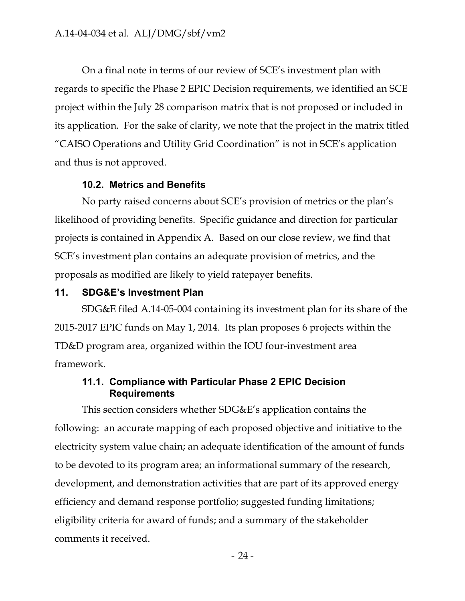On a final note in terms of our review of SCE's investment plan with regards to specific the Phase 2 EPIC Decision requirements, we identified an SCE project within the July 28 comparison matrix that is not proposed or included in its application. For the sake of clarity, we note that the project in the matrix titled "CAISO Operations and Utility Grid Coordination" is not in SCE's application and thus is not approved.

#### **10.2. Metrics and Benefits**

<span id="page-25-0"></span>No party raised concerns about SCE's provision of metrics or the plan's likelihood of providing benefits. Specific guidance and direction for particular projects is contained in Appendix A. Based on our close review, we find that SCE's investment plan contains an adequate provision of metrics, and the proposals as modified are likely to yield ratepayer benefits.

#### <span id="page-25-1"></span>**11. SDG&E's Investment Plan**

SDG&E filed A.14-05-004 containing its investment plan for its share of the 2015-2017 EPIC funds on May 1, 2014. Its plan proposes 6 projects within the TD&D program area, organized within the IOU four-investment area framework.

## <span id="page-25-2"></span>**11.1. Compliance with Particular Phase 2 EPIC Decision Requirements**

This section considers whether SDG&E's application contains the following: an accurate mapping of each proposed objective and initiative to the electricity system value chain; an adequate identification of the amount of funds to be devoted to its program area; an informational summary of the research, development, and demonstration activities that are part of its approved energy efficiency and demand response portfolio; suggested funding limitations; eligibility criteria for award of funds; and a summary of the stakeholder comments it received.

- 24 -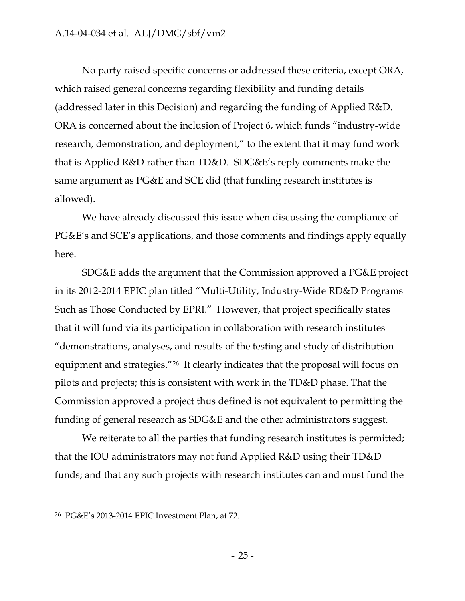No party raised specific concerns or addressed these criteria, except ORA, which raised general concerns regarding flexibility and funding details (addressed later in this Decision) and regarding the funding of Applied R&D. ORA is concerned about the inclusion of Project 6, which funds "industry-wide research, demonstration, and deployment," to the extent that it may fund work that is Applied R&D rather than TD&D. SDG&E's reply comments make the same argument as PG&E and SCE did (that funding research institutes is allowed).

We have already discussed this issue when discussing the compliance of PG&E's and SCE's applications, and those comments and findings apply equally here.

SDG&E adds the argument that the Commission approved a PG&E project in its 2012-2014 EPIC plan titled "Multi-Utility, Industry-Wide RD&D Programs Such as Those Conducted by EPRI." However, that project specifically states that it will fund via its participation in collaboration with research institutes "demonstrations, analyses, and results of the testing and study of distribution equipment and strategies."<sup>26</sup> It clearly indicates that the proposal will focus on pilots and projects; this is consistent with work in the TD&D phase. That the Commission approved a project thus defined is not equivalent to permitting the funding of general research as SDG&E and the other administrators suggest.

We reiterate to all the parties that funding research institutes is permitted; that the IOU administrators may not fund Applied R&D using their TD&D funds; and that any such projects with research institutes can and must fund the

<sup>26</sup> PG&E's 2013-2014 EPIC Investment Plan, at 72.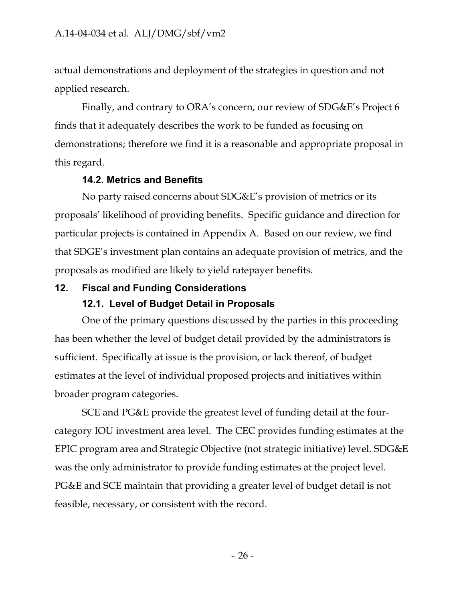actual demonstrations and deployment of the strategies in question and not applied research.

Finally, and contrary to ORA's concern, our review of SDG&E's Project 6 finds that it adequately describes the work to be funded as focusing on demonstrations; therefore we find it is a reasonable and appropriate proposal in this regard.

#### **14.2. Metrics and Benefits**

<span id="page-27-0"></span>No party raised concerns about SDG&E's provision of metrics or its proposals' likelihood of providing benefits. Specific guidance and direction for particular projects is contained in Appendix A. Based on our review, we find that SDGE's investment plan contains an adequate provision of metrics, and the proposals as modified are likely to yield ratepayer benefits.

# <span id="page-27-2"></span><span id="page-27-1"></span>**12. Fiscal and Funding Considerations**

# **12.1. Level of Budget Detail in Proposals**

One of the primary questions discussed by the parties in this proceeding has been whether the level of budget detail provided by the administrators is sufficient. Specifically at issue is the provision, or lack thereof, of budget estimates at the level of individual proposed projects and initiatives within broader program categories.

SCE and PG&E provide the greatest level of funding detail at the fourcategory IOU investment area level. The CEC provides funding estimates at the EPIC program area and Strategic Objective (not strategic initiative) level. SDG&E was the only administrator to provide funding estimates at the project level. PG&E and SCE maintain that providing a greater level of budget detail is not feasible, necessary, or consistent with the record.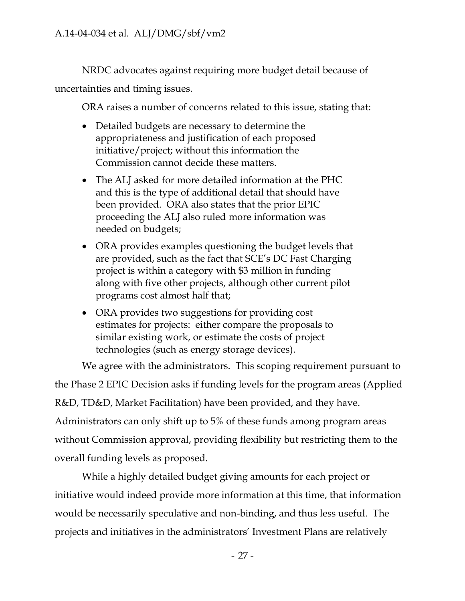NRDC advocates against requiring more budget detail because of uncertainties and timing issues.

ORA raises a number of concerns related to this issue, stating that:

- Detailed budgets are necessary to determine the appropriateness and justification of each proposed initiative/project; without this information the Commission cannot decide these matters.
- The ALJ asked for more detailed information at the PHC and this is the type of additional detail that should have been provided. ORA also states that the prior EPIC proceeding the ALJ also ruled more information was needed on budgets;
- ORA provides examples questioning the budget levels that are provided, such as the fact that SCE's DC Fast Charging project is within a category with \$3 million in funding along with five other projects, although other current pilot programs cost almost half that;
- ORA provides two suggestions for providing cost estimates for projects: either compare the proposals to similar existing work, or estimate the costs of project technologies (such as energy storage devices).

We agree with the administrators. This scoping requirement pursuant to the Phase 2 EPIC Decision asks if funding levels for the program areas (Applied R&D, TD&D, Market Facilitation) have been provided, and they have. Administrators can only shift up to 5% of these funds among program areas without Commission approval, providing flexibility but restricting them to the overall funding levels as proposed.

While a highly detailed budget giving amounts for each project or initiative would indeed provide more information at this time, that information would be necessarily speculative and non-binding, and thus less useful. The projects and initiatives in the administrators' Investment Plans are relatively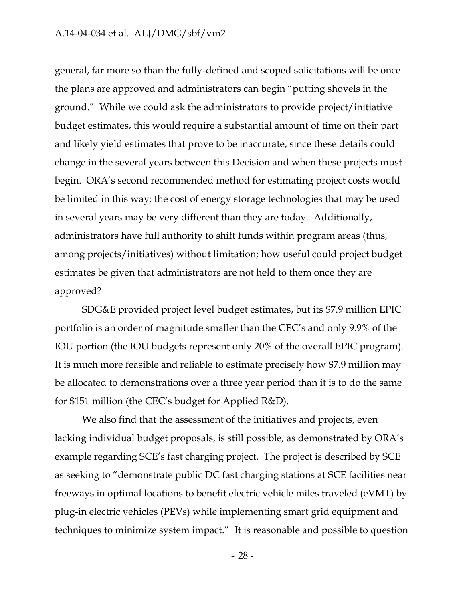general, far more so than the fully-defined and scoped solicitations will be once the plans are approved and administrators can begin "putting shovels in the ground." While we could ask the administrators to provide project/initiative budget estimates, this would require a substantial amount of time on their part and likely yield estimates that prove to be inaccurate, since these details could change in the several years between this Decision and when these projects must begin. ORA's second recommended method for estimating project costs would be limited in this way; the cost of energy storage technologies that may be used in several years may be very different than they are today. Additionally, administrators have full authority to shift funds within program areas (thus, among projects/initiatives) without limitation; how useful could project budget estimates be given that administrators are not held to them once they are approved?

SDG&E provided project level budget estimates, but its \$7.9 million EPIC portfolio is an order of magnitude smaller than the CEC's and only 9.9% of the IOU portion (the IOU budgets represent only 20% of the overall EPIC program). It is much more feasible and reliable to estimate precisely how \$7.9 million may be allocated to demonstrations over a three year period than it is to do the same for \$151 million (the CEC's budget for Applied R&D).

We also find that the assessment of the initiatives and projects, even lacking individual budget proposals, is still possible, as demonstrated by ORA's example regarding SCE's fast charging project. The project is described by SCE as seeking to "demonstrate public DC fast charging stations at SCE facilities near freeways in optimal locations to benefit electric vehicle miles traveled (eVMT) by plug-in electric vehicles (PEVs) while implementing smart grid equipment and techniques to minimize system impact." It is reasonable and possible to question

- 28 -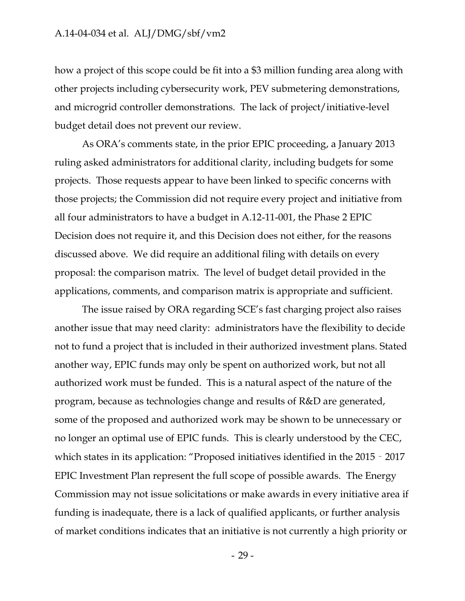how a project of this scope could be fit into a \$3 million funding area along with other projects including cybersecurity work, PEV submetering demonstrations, and microgrid controller demonstrations. The lack of project/initiative-level budget detail does not prevent our review.

As ORA's comments state, in the prior EPIC proceeding, a January 2013 ruling asked administrators for additional clarity, including budgets for some projects. Those requests appear to have been linked to specific concerns with those projects; the Commission did not require every project and initiative from all four administrators to have a budget in A.12-11-001, the Phase 2 EPIC Decision does not require it, and this Decision does not either, for the reasons discussed above. We did require an additional filing with details on every proposal: the comparison matrix. The level of budget detail provided in the applications, comments, and comparison matrix is appropriate and sufficient.

The issue raised by ORA regarding SCE's fast charging project also raises another issue that may need clarity: administrators have the flexibility to decide not to fund a project that is included in their authorized investment plans. Stated another way, EPIC funds may only be spent on authorized work, but not all authorized work must be funded. This is a natural aspect of the nature of the program, because as technologies change and results of R&D are generated, some of the proposed and authorized work may be shown to be unnecessary or no longer an optimal use of EPIC funds. This is clearly understood by the CEC, which states in its application: "Proposed initiatives identified in the 2015 - 2017 EPIC Investment Plan represent the full scope of possible awards. The Energy Commission may not issue solicitations or make awards in every initiative area if funding is inadequate, there is a lack of qualified applicants, or further analysis of market conditions indicates that an initiative is not currently a high priority or

- 29 -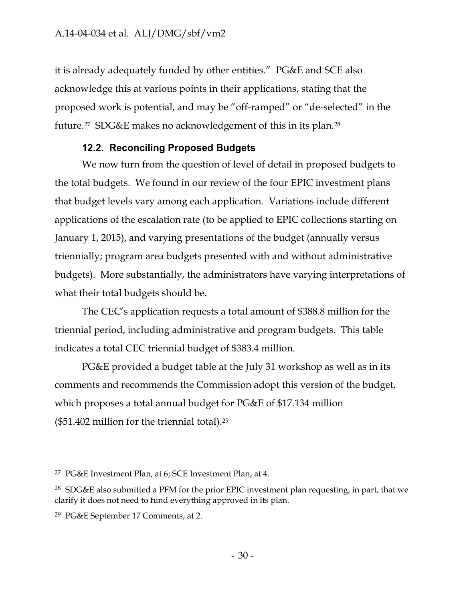it is already adequately funded by other entities." PG&E and SCE also acknowledge this at various points in their applications, stating that the proposed work is potential, and may be "off-ramped" or "de-selected" in the future.<sup>27</sup> SDG&E makes no acknowledgement of this in its plan.<sup>28</sup>

# **12.2. Reconciling Proposed Budgets**

<span id="page-31-0"></span>We now turn from the question of level of detail in proposed budgets to the total budgets. We found in our review of the four EPIC investment plans that budget levels vary among each application. Variations include different applications of the escalation rate (to be applied to EPIC collections starting on January 1, 2015), and varying presentations of the budget (annually versus triennially; program area budgets presented with and without administrative budgets). More substantially, the administrators have varying interpretations of what their total budgets should be.

The CEC's application requests a total amount of \$388.8 million for the triennial period, including administrative and program budgets. This table indicates a total CEC triennial budget of \$383.4 million.

PG&E provided a budget table at the July 31 workshop as well as in its comments and recommends the Commission adopt this version of the budget, which proposes a total annual budget for PG&E of \$17.134 million (\$51.402 million for the triennial total).<sup>29</sup>

<sup>27</sup> PG&E Investment Plan, at 6; SCE Investment Plan, at 4.

 $28$  SDG&E also submitted a PFM for the prior EPIC investment plan requesting, in part, that we clarify it does not need to fund everything approved in its plan.

<sup>29</sup> PG&E September 17 Comments, at 2.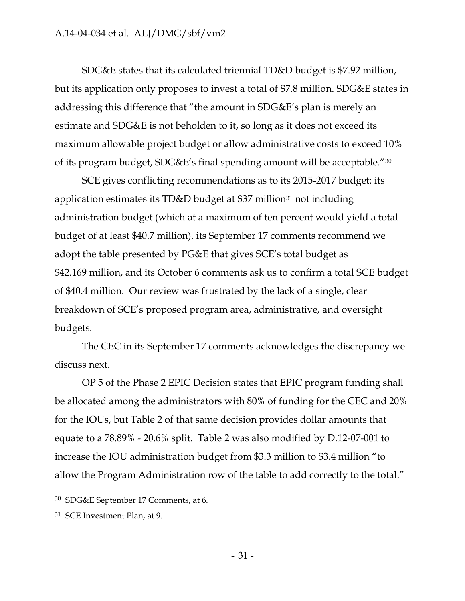SDG&E states that its calculated triennial TD&D budget is \$7.92 million, but its application only proposes to invest a total of \$7.8 million. SDG&E states in addressing this difference that "the amount in SDG&E's plan is merely an estimate and SDG&E is not beholden to it, so long as it does not exceed its maximum allowable project budget or allow administrative costs to exceed 10% of its program budget, SDG&E's final spending amount will be acceptable."<sup>30</sup>

SCE gives conflicting recommendations as to its 2015-2017 budget: its application estimates its TD&D budget at \$37 million<sup>31</sup> not including administration budget (which at a maximum of ten percent would yield a total budget of at least \$40.7 million), its September 17 comments recommend we adopt the table presented by PG&E that gives SCE's total budget as \$42.169 million, and its October 6 comments ask us to confirm a total SCE budget of \$40.4 million. Our review was frustrated by the lack of a single, clear breakdown of SCE's proposed program area, administrative, and oversight budgets.

The CEC in its September 17 comments acknowledges the discrepancy we discuss next.

OP 5 of the Phase 2 EPIC Decision states that EPIC program funding shall be allocated among the administrators with 80% of funding for the CEC and 20% for the IOUs, but Table 2 of that same decision provides dollar amounts that equate to a 78.89% - 20.6% split. Table 2 was also modified by D.12-07-001 to increase the IOU administration budget from \$3.3 million to \$3.4 million "to allow the Program Administration row of the table to add correctly to the total."

<sup>30</sup> SDG&E September 17 Comments, at 6.

<sup>31</sup> SCE Investment Plan, at 9.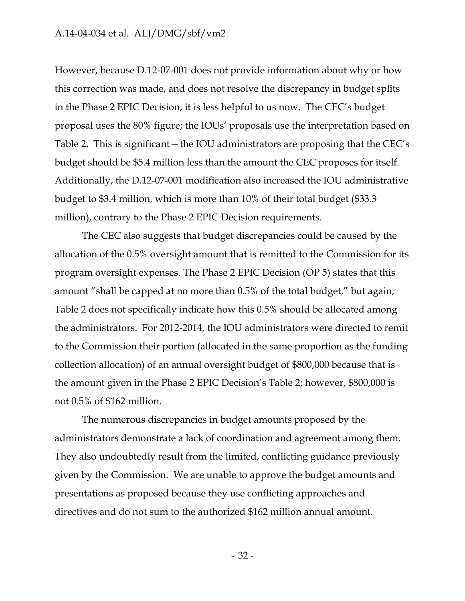However, because D.12-07-001 does not provide information about why or how this correction was made, and does not resolve the discrepancy in budget splits in the Phase 2 EPIC Decision, it is less helpful to us now. The CEC's budget proposal uses the 80% figure; the IOUs' proposals use the interpretation based on Table 2. This is significant—the IOU administrators are proposing that the CEC's budget should be \$5.4 million less than the amount the CEC proposes for itself. Additionally, the D.12-07-001 modification also increased the IOU administrative budget to \$3.4 million, which is more than 10% of their total budget (\$33.3 million), contrary to the Phase 2 EPIC Decision requirements.

The CEC also suggests that budget discrepancies could be caused by the allocation of the 0.5% oversight amount that is remitted to the Commission for its program oversight expenses. The Phase 2 EPIC Decision (OP 5) states that this amount "shall be capped at no more than 0.5% of the total budget," but again, Table 2 does not specifically indicate how this 0.5% should be allocated among the administrators. For 2012-2014, the IOU administrators were directed to remit to the Commission their portion (allocated in the same proportion as the funding collection allocation) of an annual oversight budget of \$800,000 because that is the amount given in the Phase 2 EPIC Decision's Table 2; however, \$800,000 is not 0.5% of \$162 million.

The numerous discrepancies in budget amounts proposed by the administrators demonstrate a lack of coordination and agreement among them. They also undoubtedly result from the limited, conflicting guidance previously given by the Commission. We are unable to approve the budget amounts and presentations as proposed because they use conflicting approaches and directives and do not sum to the authorized \$162 million annual amount.

- 32 -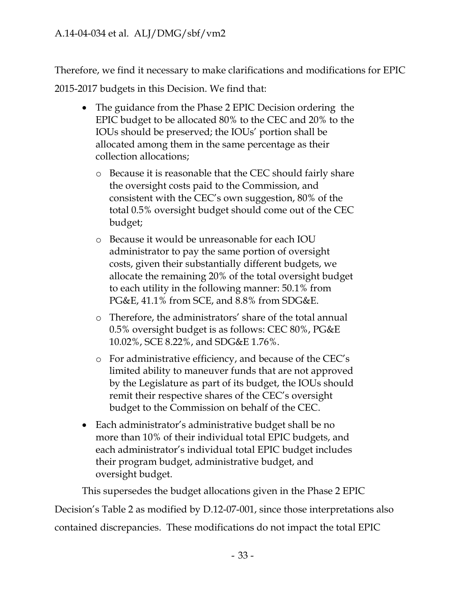Therefore, we find it necessary to make clarifications and modifications for EPIC

2015-2017 budgets in this Decision. We find that:

- The guidance from the Phase 2 EPIC Decision ordering the EPIC budget to be allocated 80% to the CEC and 20% to the IOUs should be preserved; the IOUs' portion shall be allocated among them in the same percentage as their collection allocations;
	- o Because it is reasonable that the CEC should fairly share the oversight costs paid to the Commission, and consistent with the CEC's own suggestion, 80% of the total 0.5% oversight budget should come out of the CEC budget;
	- o Because it would be unreasonable for each IOU administrator to pay the same portion of oversight costs, given their substantially different budgets, we allocate the remaining 20% of the total oversight budget to each utility in the following manner: 50.1% from PG&E, 41.1% from SCE, and 8.8% from SDG&E.
	- o Therefore, the administrators' share of the total annual 0.5% oversight budget is as follows: CEC 80%, PG&E 10.02%, SCE 8.22%, and SDG&E 1.76%.
	- o For administrative efficiency, and because of the CEC's limited ability to maneuver funds that are not approved by the Legislature as part of its budget, the IOUs should remit their respective shares of the CEC's oversight budget to the Commission on behalf of the CEC.
- Each administrator's administrative budget shall be no more than 10% of their individual total EPIC budgets, and each administrator's individual total EPIC budget includes their program budget, administrative budget, and oversight budget.

This supersedes the budget allocations given in the Phase 2 EPIC Decision's Table 2 as modified by D.12-07-001, since those interpretations also

contained discrepancies. These modifications do not impact the total EPIC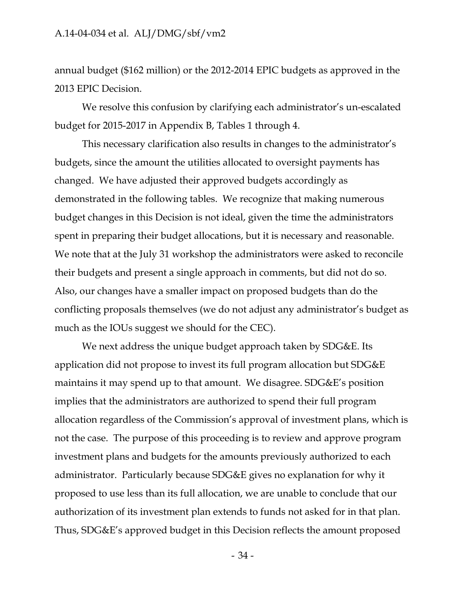annual budget (\$162 million) or the 2012-2014 EPIC budgets as approved in the 2013 EPIC Decision.

We resolve this confusion by clarifying each administrator's un-escalated budget for 2015-2017 in Appendix B, Tables 1 through 4.

This necessary clarification also results in changes to the administrator's budgets, since the amount the utilities allocated to oversight payments has changed. We have adjusted their approved budgets accordingly as demonstrated in the following tables. We recognize that making numerous budget changes in this Decision is not ideal, given the time the administrators spent in preparing their budget allocations, but it is necessary and reasonable. We note that at the July 31 workshop the administrators were asked to reconcile their budgets and present a single approach in comments, but did not do so. Also, our changes have a smaller impact on proposed budgets than do the conflicting proposals themselves (we do not adjust any administrator's budget as much as the IOUs suggest we should for the CEC).

We next address the unique budget approach taken by SDG&E. Its application did not propose to invest its full program allocation but SDG&E maintains it may spend up to that amount. We disagree. SDG&E's position implies that the administrators are authorized to spend their full program allocation regardless of the Commission's approval of investment plans, which is not the case. The purpose of this proceeding is to review and approve program investment plans and budgets for the amounts previously authorized to each administrator. Particularly because SDG&E gives no explanation for why it proposed to use less than its full allocation, we are unable to conclude that our authorization of its investment plan extends to funds not asked for in that plan. Thus, SDG&E's approved budget in this Decision reflects the amount proposed

- 34 -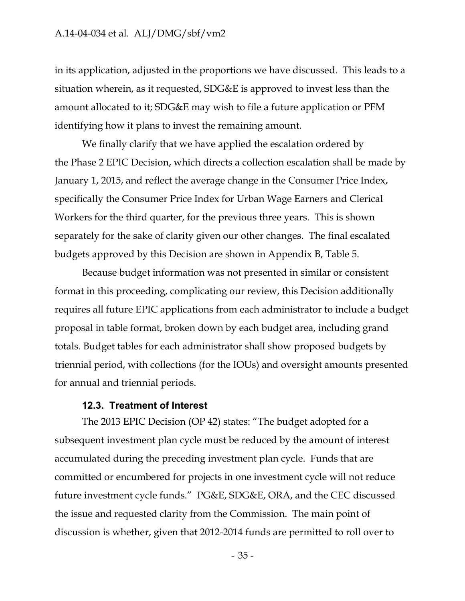in its application, adjusted in the proportions we have discussed. This leads to a situation wherein, as it requested, SDG&E is approved to invest less than the amount allocated to it; SDG&E may wish to file a future application or PFM identifying how it plans to invest the remaining amount.

We finally clarify that we have applied the escalation ordered by the Phase 2 EPIC Decision, which directs a collection escalation shall be made by January 1, 2015, and reflect the average change in the Consumer Price Index, specifically the Consumer Price Index for Urban Wage Earners and Clerical Workers for the third quarter, for the previous three years. This is shown separately for the sake of clarity given our other changes. The final escalated budgets approved by this Decision are shown in Appendix B, Table 5.

Because budget information was not presented in similar or consistent format in this proceeding, complicating our review, this Decision additionally requires all future EPIC applications from each administrator to include a budget proposal in table format, broken down by each budget area, including grand totals. Budget tables for each administrator shall show proposed budgets by triennial period, with collections (for the IOUs) and oversight amounts presented for annual and triennial periods.

### **12.3. Treatment of Interest**

The 2013 EPIC Decision (OP 42) states: "The budget adopted for a subsequent investment plan cycle must be reduced by the amount of interest accumulated during the preceding investment plan cycle. Funds that are committed or encumbered for projects in one investment cycle will not reduce future investment cycle funds." PG&E, SDG&E, ORA, and the CEC discussed the issue and requested clarity from the Commission. The main point of discussion is whether, given that 2012-2014 funds are permitted to roll over to

- 35 -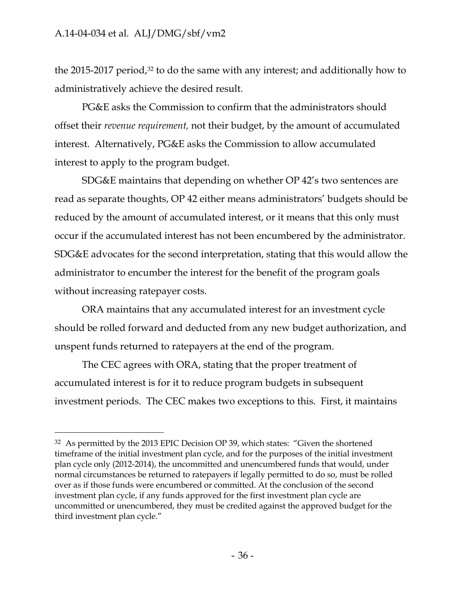$\overline{a}$ 

the 2015-2017 period,<sup>32</sup> to do the same with any interest; and additionally how to administratively achieve the desired result.

PG&E asks the Commission to confirm that the administrators should offset their *revenue requirement,* not their budget, by the amount of accumulated interest. Alternatively, PG&E asks the Commission to allow accumulated interest to apply to the program budget.

SDG&E maintains that depending on whether OP 42's two sentences are read as separate thoughts, OP 42 either means administrators' budgets should be reduced by the amount of accumulated interest, or it means that this only must occur if the accumulated interest has not been encumbered by the administrator. SDG&E advocates for the second interpretation, stating that this would allow the administrator to encumber the interest for the benefit of the program goals without increasing ratepayer costs.

ORA maintains that any accumulated interest for an investment cycle should be rolled forward and deducted from any new budget authorization, and unspent funds returned to ratepayers at the end of the program.

The CEC agrees with ORA, stating that the proper treatment of accumulated interest is for it to reduce program budgets in subsequent investment periods. The CEC makes two exceptions to this. First, it maintains

<sup>&</sup>lt;sup>32</sup> As permitted by the 2013 EPIC Decision OP 39, which states: "Given the shortened timeframe of the initial investment plan cycle, and for the purposes of the initial investment plan cycle only (2012-2014), the uncommitted and unencumbered funds that would, under normal circumstances be returned to ratepayers if legally permitted to do so, must be rolled over as if those funds were encumbered or committed. At the conclusion of the second investment plan cycle, if any funds approved for the first investment plan cycle are uncommitted or unencumbered, they must be credited against the approved budget for the third investment plan cycle."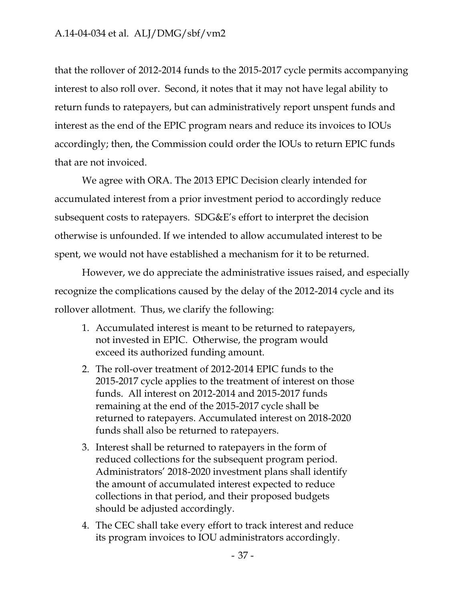that the rollover of 2012-2014 funds to the 2015-2017 cycle permits accompanying interest to also roll over. Second, it notes that it may not have legal ability to return funds to ratepayers, but can administratively report unspent funds and interest as the end of the EPIC program nears and reduce its invoices to IOUs accordingly; then, the Commission could order the IOUs to return EPIC funds that are not invoiced.

We agree with ORA. The 2013 EPIC Decision clearly intended for accumulated interest from a prior investment period to accordingly reduce subsequent costs to ratepayers. SDG&E's effort to interpret the decision otherwise is unfounded. If we intended to allow accumulated interest to be spent, we would not have established a mechanism for it to be returned.

However, we do appreciate the administrative issues raised, and especially recognize the complications caused by the delay of the 2012-2014 cycle and its rollover allotment. Thus, we clarify the following:

- 1. Accumulated interest is meant to be returned to ratepayers, not invested in EPIC. Otherwise, the program would exceed its authorized funding amount.
- 2. The roll-over treatment of 2012-2014 EPIC funds to the 2015-2017 cycle applies to the treatment of interest on those funds. All interest on 2012-2014 and 2015-2017 funds remaining at the end of the 2015-2017 cycle shall be returned to ratepayers. Accumulated interest on 2018-2020 funds shall also be returned to ratepayers.
- 3. Interest shall be returned to ratepayers in the form of reduced collections for the subsequent program period. Administrators' 2018-2020 investment plans shall identify the amount of accumulated interest expected to reduce collections in that period, and their proposed budgets should be adjusted accordingly.
- 4. The CEC shall take every effort to track interest and reduce its program invoices to IOU administrators accordingly.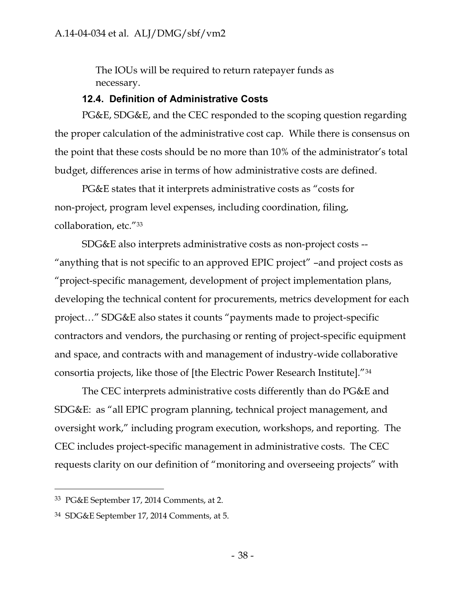The IOUs will be required to return ratepayer funds as necessary.

## **12.4. Definition of Administrative Costs**

PG&E, SDG&E, and the CEC responded to the scoping question regarding the proper calculation of the administrative cost cap. While there is consensus on the point that these costs should be no more than 10% of the administrator's total budget, differences arise in terms of how administrative costs are defined.

PG&E states that it interprets administrative costs as "costs for non-project, program level expenses, including coordination, filing, collaboration, etc."<sup>33</sup>

SDG&E also interprets administrative costs as non-project costs -- "anything that is not specific to an approved EPIC project" –and project costs as "project-specific management, development of project implementation plans, developing the technical content for procurements, metrics development for each project…" SDG&E also states it counts "payments made to project-specific contractors and vendors, the purchasing or renting of project-specific equipment and space, and contracts with and management of industry-wide collaborative consortia projects, like those of [the Electric Power Research Institute]."<sup>34</sup>

The CEC interprets administrative costs differently than do PG&E and SDG&E: as "all EPIC program planning, technical project management, and oversight work," including program execution, workshops, and reporting. The CEC includes project-specific management in administrative costs. The CEC requests clarity on our definition of "monitoring and overseeing projects" with

<sup>33</sup> PG&E September 17, 2014 Comments, at 2.

<sup>34</sup> SDG&E September 17, 2014 Comments, at 5.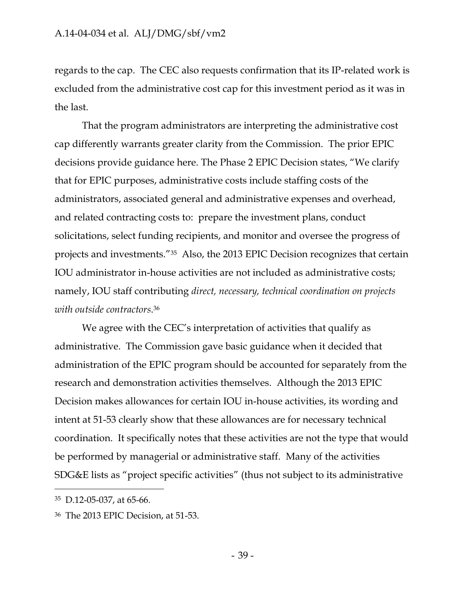regards to the cap. The CEC also requests confirmation that its IP-related work is excluded from the administrative cost cap for this investment period as it was in the last.

That the program administrators are interpreting the administrative cost cap differently warrants greater clarity from the Commission. The prior EPIC decisions provide guidance here. The Phase 2 EPIC Decision states, "We clarify that for EPIC purposes, administrative costs include staffing costs of the administrators, associated general and administrative expenses and overhead, and related contracting costs to: prepare the investment plans, conduct solicitations, select funding recipients, and monitor and oversee the progress of projects and investments."<sup>35</sup> Also, the 2013 EPIC Decision recognizes that certain IOU administrator in-house activities are not included as administrative costs; namely, IOU staff contributing *direct, necessary, technical coordination on projects with outside contractors*. 36

We agree with the CEC's interpretation of activities that qualify as administrative. The Commission gave basic guidance when it decided that administration of the EPIC program should be accounted for separately from the research and demonstration activities themselves. Although the 2013 EPIC Decision makes allowances for certain IOU in-house activities, its wording and intent at 51-53 clearly show that these allowances are for necessary technical coordination. It specifically notes that these activities are not the type that would be performed by managerial or administrative staff. Many of the activities SDG&E lists as "project specific activities" (thus not subject to its administrative

<sup>35</sup> D.12-05-037, at 65-66.

<sup>36</sup> The 2013 EPIC Decision, at 51-53.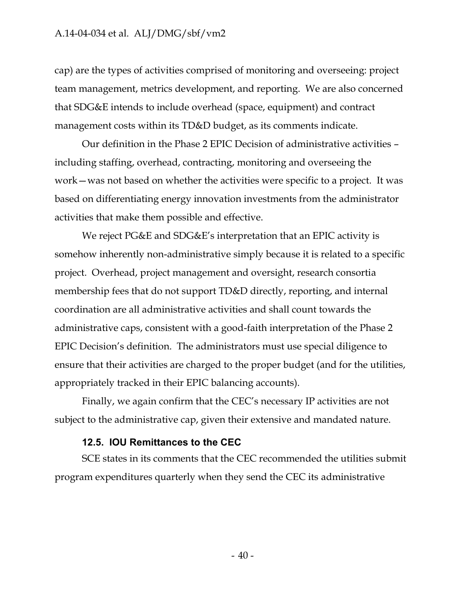cap) are the types of activities comprised of monitoring and overseeing: project team management, metrics development, and reporting. We are also concerned that SDG&E intends to include overhead (space, equipment) and contract management costs within its TD&D budget, as its comments indicate.

Our definition in the Phase 2 EPIC Decision of administrative activities – including staffing, overhead, contracting, monitoring and overseeing the work—was not based on whether the activities were specific to a project. It was based on differentiating energy innovation investments from the administrator activities that make them possible and effective.

We reject PG&E and SDG&E's interpretation that an EPIC activity is somehow inherently non-administrative simply because it is related to a specific project. Overhead, project management and oversight, research consortia membership fees that do not support TD&D directly, reporting, and internal coordination are all administrative activities and shall count towards the administrative caps, consistent with a good-faith interpretation of the Phase 2 EPIC Decision's definition. The administrators must use special diligence to ensure that their activities are charged to the proper budget (and for the utilities, appropriately tracked in their EPIC balancing accounts).

Finally, we again confirm that the CEC's necessary IP activities are not subject to the administrative cap, given their extensive and mandated nature.

#### **12.5. IOU Remittances to the CEC**

SCE states in its comments that the CEC recommended the utilities submit program expenditures quarterly when they send the CEC its administrative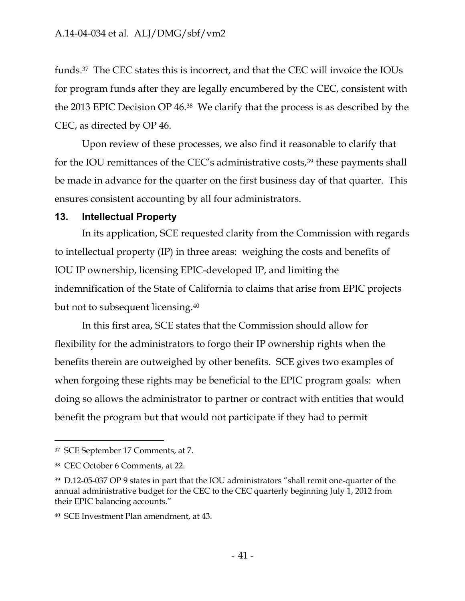funds.<sup>37</sup> The CEC states this is incorrect, and that the CEC will invoice the IOUs for program funds after they are legally encumbered by the CEC, consistent with the 2013 EPIC Decision OP 46.<sup>38</sup> We clarify that the process is as described by the CEC, as directed by OP 46.

Upon review of these processes, we also find it reasonable to clarify that for the IOU remittances of the CEC's administrative costs,<sup>39</sup> these payments shall be made in advance for the quarter on the first business day of that quarter. This ensures consistent accounting by all four administrators.

## **13. Intellectual Property**

In its application, SCE requested clarity from the Commission with regards to intellectual property (IP) in three areas: weighing the costs and benefits of IOU IP ownership, licensing EPIC-developed IP, and limiting the indemnification of the State of California to claims that arise from EPIC projects but not to subsequent licensing.<sup>40</sup>

In this first area, SCE states that the Commission should allow for flexibility for the administrators to forgo their IP ownership rights when the benefits therein are outweighed by other benefits. SCE gives two examples of when forgoing these rights may be beneficial to the EPIC program goals: when doing so allows the administrator to partner or contract with entities that would benefit the program but that would not participate if they had to permit

<sup>37</sup> SCE September 17 Comments, at 7.

<sup>38</sup> CEC October 6 Comments, at 22.

<sup>39</sup> D.12-05-037 OP 9 states in part that the IOU administrators "shall remit one-quarter of the annual administrative budget for the CEC to the CEC quarterly beginning July 1, 2012 from their EPIC balancing accounts."

<sup>40</sup> SCE Investment Plan amendment, at 43.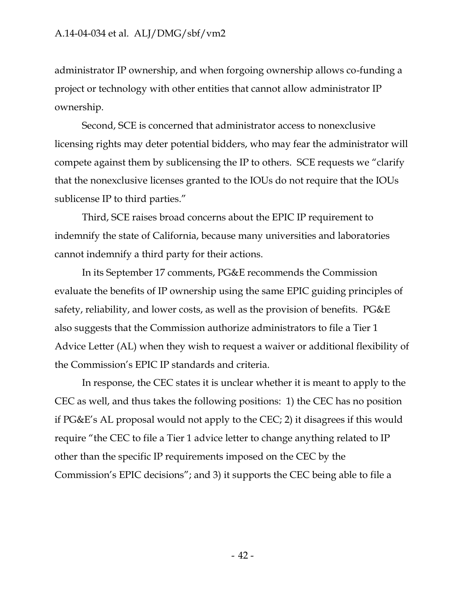administrator IP ownership, and when forgoing ownership allows co-funding a project or technology with other entities that cannot allow administrator IP ownership.

Second, SCE is concerned that administrator access to nonexclusive licensing rights may deter potential bidders, who may fear the administrator will compete against them by sublicensing the IP to others. SCE requests we "clarify that the nonexclusive licenses granted to the IOUs do not require that the IOUs sublicense IP to third parties."

Third, SCE raises broad concerns about the EPIC IP requirement to indemnify the state of California, because many universities and laboratories cannot indemnify a third party for their actions.

In its September 17 comments, PG&E recommends the Commission evaluate the benefits of IP ownership using the same EPIC guiding principles of safety, reliability, and lower costs, as well as the provision of benefits. PG&E also suggests that the Commission authorize administrators to file a Tier 1 Advice Letter (AL) when they wish to request a waiver or additional flexibility of the Commission's EPIC IP standards and criteria.

In response, the CEC states it is unclear whether it is meant to apply to the CEC as well, and thus takes the following positions: 1) the CEC has no position if PG&E's AL proposal would not apply to the CEC; 2) it disagrees if this would require "the CEC to file a Tier 1 advice letter to change anything related to IP other than the specific IP requirements imposed on the CEC by the Commission's EPIC decisions"; and 3) it supports the CEC being able to file a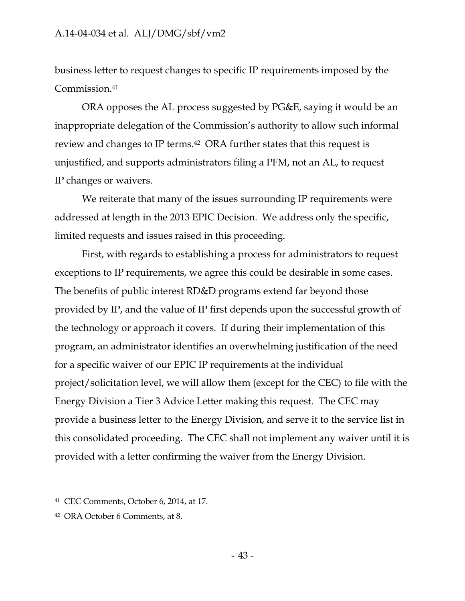business letter to request changes to specific IP requirements imposed by the Commission.<sup>41</sup>

ORA opposes the AL process suggested by PG&E, saying it would be an inappropriate delegation of the Commission's authority to allow such informal review and changes to IP terms.<sup>42</sup> ORA further states that this request is unjustified, and supports administrators filing a PFM, not an AL, to request IP changes or waivers.

We reiterate that many of the issues surrounding IP requirements were addressed at length in the 2013 EPIC Decision. We address only the specific, limited requests and issues raised in this proceeding.

First, with regards to establishing a process for administrators to request exceptions to IP requirements, we agree this could be desirable in some cases. The benefits of public interest RD&D programs extend far beyond those provided by IP, and the value of IP first depends upon the successful growth of the technology or approach it covers. If during their implementation of this program, an administrator identifies an overwhelming justification of the need for a specific waiver of our EPIC IP requirements at the individual project/solicitation level, we will allow them (except for the CEC) to file with the Energy Division a Tier 3 Advice Letter making this request. The CEC may provide a business letter to the Energy Division, and serve it to the service list in this consolidated proceeding. The CEC shall not implement any waiver until it is provided with a letter confirming the waiver from the Energy Division.

<sup>41</sup> CEC Comments, October 6, 2014, at 17.

<sup>42</sup> ORA October 6 Comments, at 8.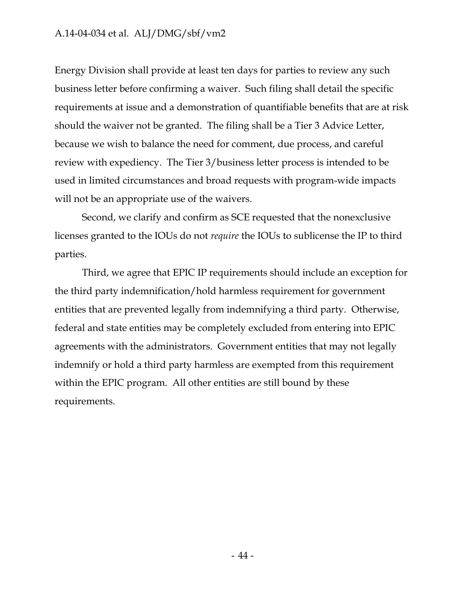Energy Division shall provide at least ten days for parties to review any such business letter before confirming a waiver. Such filing shall detail the specific requirements at issue and a demonstration of quantifiable benefits that are at risk should the waiver not be granted. The filing shall be a Tier 3 Advice Letter, because we wish to balance the need for comment, due process, and careful review with expediency. The Tier 3/business letter process is intended to be used in limited circumstances and broad requests with program-wide impacts will not be an appropriate use of the waivers.

Second, we clarify and confirm as SCE requested that the nonexclusive licenses granted to the IOUs do not *require* the IOUs to sublicense the IP to third parties.

Third, we agree that EPIC IP requirements should include an exception for the third party indemnification/hold harmless requirement for government entities that are prevented legally from indemnifying a third party. Otherwise, federal and state entities may be completely excluded from entering into EPIC agreements with the administrators. Government entities that may not legally indemnify or hold a third party harmless are exempted from this requirement within the EPIC program. All other entities are still bound by these requirements.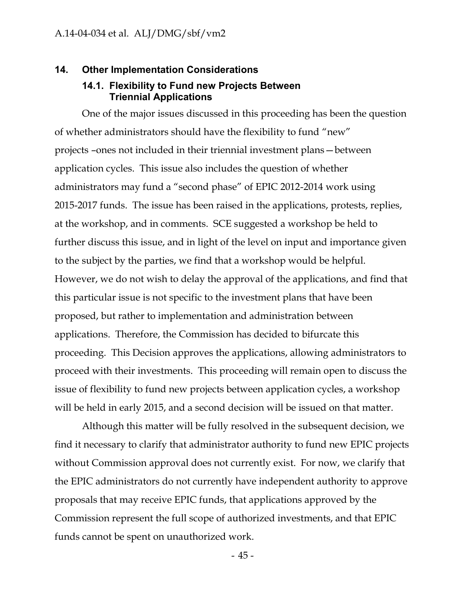### **14. Other Implementation Considerations**

### **14.1. Flexibility to Fund new Projects Between Triennial Applications**

One of the major issues discussed in this proceeding has been the question of whether administrators should have the flexibility to fund "new" projects –ones not included in their triennial investment plans—between application cycles. This issue also includes the question of whether administrators may fund a "second phase" of EPIC 2012-2014 work using 2015-2017 funds. The issue has been raised in the applications, protests, replies, at the workshop, and in comments. SCE suggested a workshop be held to further discuss this issue, and in light of the level on input and importance given to the subject by the parties, we find that a workshop would be helpful. However, we do not wish to delay the approval of the applications, and find that this particular issue is not specific to the investment plans that have been proposed, but rather to implementation and administration between applications. Therefore, the Commission has decided to bifurcate this proceeding. This Decision approves the applications, allowing administrators to proceed with their investments. This proceeding will remain open to discuss the issue of flexibility to fund new projects between application cycles, a workshop will be held in early 2015, and a second decision will be issued on that matter.

Although this matter will be fully resolved in the subsequent decision, we find it necessary to clarify that administrator authority to fund new EPIC projects without Commission approval does not currently exist. For now, we clarify that the EPIC administrators do not currently have independent authority to approve proposals that may receive EPIC funds, that applications approved by the Commission represent the full scope of authorized investments, and that EPIC funds cannot be spent on unauthorized work.

- 45 -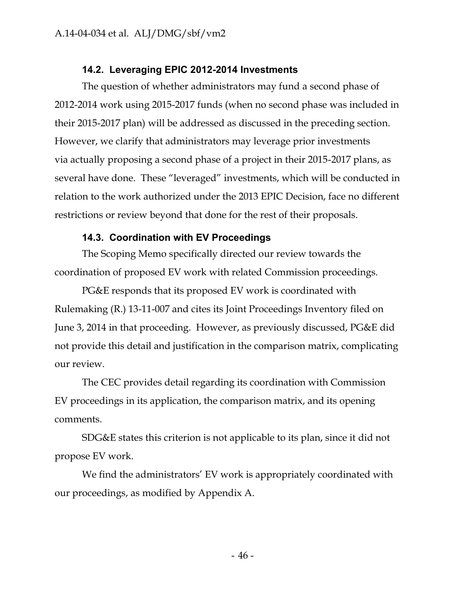# **14.2. Leveraging EPIC 2012-2014 Investments**

The question of whether administrators may fund a second phase of 2012-2014 work using 2015-2017 funds (when no second phase was included in their 2015-2017 plan) will be addressed as discussed in the preceding section. However, we clarify that administrators may leverage prior investments via actually proposing a second phase of a project in their 2015-2017 plans, as several have done. These "leveraged" investments, which will be conducted in relation to the work authorized under the 2013 EPIC Decision, face no different restrictions or review beyond that done for the rest of their proposals.

# **14.3. Coordination with EV Proceedings**

The Scoping Memo specifically directed our review towards the coordination of proposed EV work with related Commission proceedings.

PG&E responds that its proposed EV work is coordinated with Rulemaking (R.) 13-11-007 and cites its Joint Proceedings Inventory filed on June 3, 2014 in that proceeding. However, as previously discussed, PG&E did not provide this detail and justification in the comparison matrix, complicating our review.

The CEC provides detail regarding its coordination with Commission EV proceedings in its application, the comparison matrix, and its opening comments.

SDG&E states this criterion is not applicable to its plan, since it did not propose EV work.

We find the administrators' EV work is appropriately coordinated with our proceedings, as modified by Appendix A.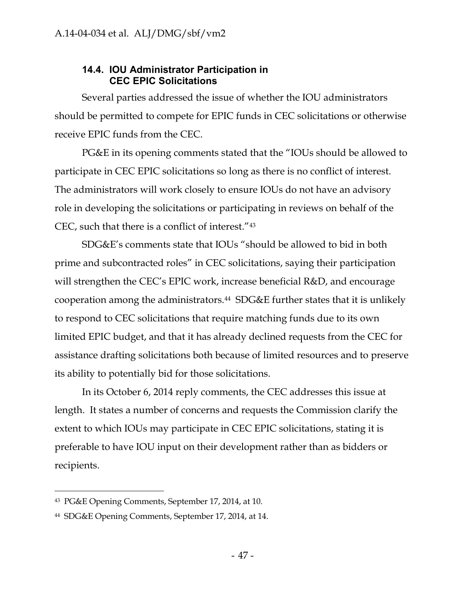# **14.4. IOU Administrator Participation in CEC EPIC Solicitations**

Several parties addressed the issue of whether the IOU administrators should be permitted to compete for EPIC funds in CEC solicitations or otherwise receive EPIC funds from the CEC.

PG&E in its opening comments stated that the "IOUs should be allowed to participate in CEC EPIC solicitations so long as there is no conflict of interest. The administrators will work closely to ensure IOUs do not have an advisory role in developing the solicitations or participating in reviews on behalf of the CEC, such that there is a conflict of interest."<sup>43</sup>

SDG&E's comments state that IOUs "should be allowed to bid in both prime and subcontracted roles" in CEC solicitations, saying their participation will strengthen the CEC's EPIC work, increase beneficial R&D, and encourage cooperation among the administrators.<sup>44</sup> SDG&E further states that it is unlikely to respond to CEC solicitations that require matching funds due to its own limited EPIC budget, and that it has already declined requests from the CEC for assistance drafting solicitations both because of limited resources and to preserve its ability to potentially bid for those solicitations.

In its October 6, 2014 reply comments, the CEC addresses this issue at length. It states a number of concerns and requests the Commission clarify the extent to which IOUs may participate in CEC EPIC solicitations, stating it is preferable to have IOU input on their development rather than as bidders or recipients.

<sup>43</sup> PG&E Opening Comments, September 17, 2014, at 10.

<sup>44</sup> SDG&E Opening Comments, September 17, 2014, at 14.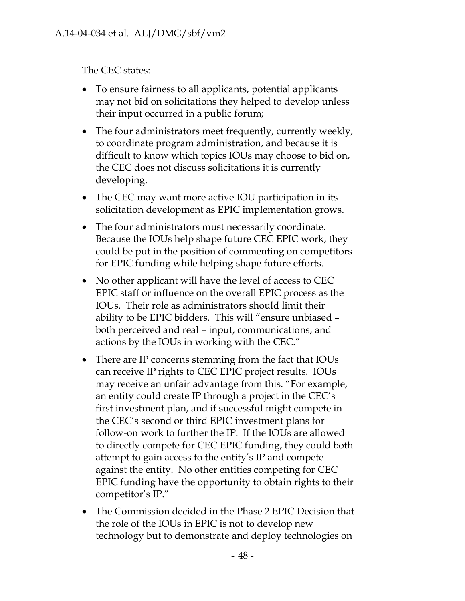The CEC states:

- To ensure fairness to all applicants, potential applicants may not bid on solicitations they helped to develop unless their input occurred in a public forum;
- The four administrators meet frequently, currently weekly, to coordinate program administration, and because it is difficult to know which topics IOUs may choose to bid on, the CEC does not discuss solicitations it is currently developing.
- The CEC may want more active IOU participation in its solicitation development as EPIC implementation grows.
- The four administrators must necessarily coordinate. Because the IOUs help shape future CEC EPIC work, they could be put in the position of commenting on competitors for EPIC funding while helping shape future efforts.
- No other applicant will have the level of access to CEC EPIC staff or influence on the overall EPIC process as the IOUs. Their role as administrators should limit their ability to be EPIC bidders. This will "ensure unbiased – both perceived and real – input, communications, and actions by the IOUs in working with the CEC."
- There are IP concerns stemming from the fact that IOUs can receive IP rights to CEC EPIC project results. IOUs may receive an unfair advantage from this. "For example, an entity could create IP through a project in the CEC's first investment plan, and if successful might compete in the CEC's second or third EPIC investment plans for follow-on work to further the IP. If the IOUs are allowed to directly compete for CEC EPIC funding, they could both attempt to gain access to the entity's IP and compete against the entity. No other entities competing for CEC EPIC funding have the opportunity to obtain rights to their competitor's IP."
- The Commission decided in the Phase 2 EPIC Decision that the role of the IOUs in EPIC is not to develop new technology but to demonstrate and deploy technologies on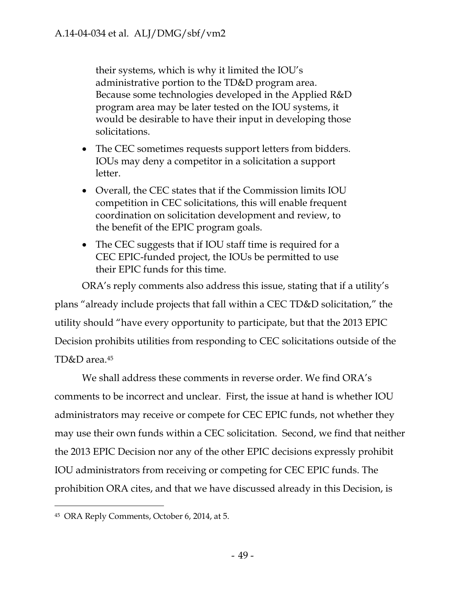their systems, which is why it limited the IOU's administrative portion to the TD&D program area. Because some technologies developed in the Applied R&D program area may be later tested on the IOU systems, it would be desirable to have their input in developing those solicitations.

- The CEC sometimes requests support letters from bidders. IOUs may deny a competitor in a solicitation a support letter.
- Overall, the CEC states that if the Commission limits IOU competition in CEC solicitations, this will enable frequent coordination on solicitation development and review, to the benefit of the EPIC program goals.
- The CEC suggests that if IOU staff time is required for a CEC EPIC-funded project, the IOUs be permitted to use their EPIC funds for this time.

ORA's reply comments also address this issue, stating that if a utility's plans "already include projects that fall within a CEC TD&D solicitation," the utility should "have every opportunity to participate, but that the 2013 EPIC Decision prohibits utilities from responding to CEC solicitations outside of the TD&D area.<sup>45</sup>

We shall address these comments in reverse order. We find ORA's comments to be incorrect and unclear. First, the issue at hand is whether IOU administrators may receive or compete for CEC EPIC funds, not whether they may use their own funds within a CEC solicitation. Second, we find that neither the 2013 EPIC Decision nor any of the other EPIC decisions expressly prohibit IOU administrators from receiving or competing for CEC EPIC funds. The prohibition ORA cites, and that we have discussed already in this Decision, is

<sup>45</sup> ORA Reply Comments, October 6, 2014, at 5.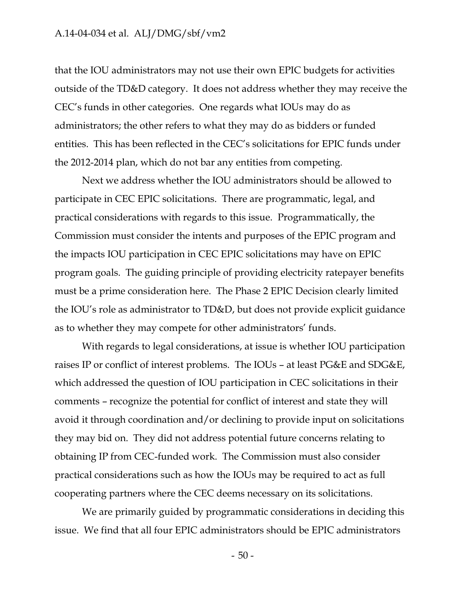that the IOU administrators may not use their own EPIC budgets for activities outside of the TD&D category. It does not address whether they may receive the CEC's funds in other categories. One regards what IOUs may do as administrators; the other refers to what they may do as bidders or funded entities. This has been reflected in the CEC's solicitations for EPIC funds under the 2012-2014 plan, which do not bar any entities from competing.

Next we address whether the IOU administrators should be allowed to participate in CEC EPIC solicitations. There are programmatic, legal, and practical considerations with regards to this issue. Programmatically, the Commission must consider the intents and purposes of the EPIC program and the impacts IOU participation in CEC EPIC solicitations may have on EPIC program goals. The guiding principle of providing electricity ratepayer benefits must be a prime consideration here. The Phase 2 EPIC Decision clearly limited the IOU's role as administrator to TD&D, but does not provide explicit guidance as to whether they may compete for other administrators' funds.

With regards to legal considerations, at issue is whether IOU participation raises IP or conflict of interest problems. The IOUs – at least PG&E and SDG&E, which addressed the question of IOU participation in CEC solicitations in their comments – recognize the potential for conflict of interest and state they will avoid it through coordination and/or declining to provide input on solicitations they may bid on. They did not address potential future concerns relating to obtaining IP from CEC-funded work. The Commission must also consider practical considerations such as how the IOUs may be required to act as full cooperating partners where the CEC deems necessary on its solicitations.

We are primarily guided by programmatic considerations in deciding this issue. We find that all four EPIC administrators should be EPIC administrators

- 50 -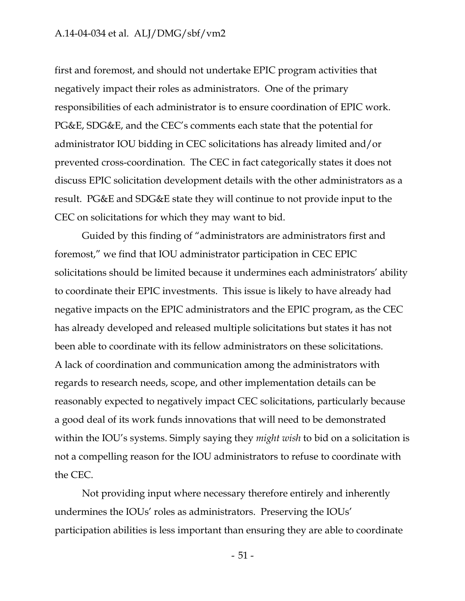first and foremost, and should not undertake EPIC program activities that negatively impact their roles as administrators. One of the primary responsibilities of each administrator is to ensure coordination of EPIC work. PG&E, SDG&E, and the CEC's comments each state that the potential for administrator IOU bidding in CEC solicitations has already limited and/or prevented cross-coordination. The CEC in fact categorically states it does not discuss EPIC solicitation development details with the other administrators as a result. PG&E and SDG&E state they will continue to not provide input to the CEC on solicitations for which they may want to bid.

Guided by this finding of "administrators are administrators first and foremost," we find that IOU administrator participation in CEC EPIC solicitations should be limited because it undermines each administrators' ability to coordinate their EPIC investments. This issue is likely to have already had negative impacts on the EPIC administrators and the EPIC program, as the CEC has already developed and released multiple solicitations but states it has not been able to coordinate with its fellow administrators on these solicitations. A lack of coordination and communication among the administrators with regards to research needs, scope, and other implementation details can be reasonably expected to negatively impact CEC solicitations, particularly because a good deal of its work funds innovations that will need to be demonstrated within the IOU's systems. Simply saying they *might wish* to bid on a solicitation is not a compelling reason for the IOU administrators to refuse to coordinate with the CEC.

Not providing input where necessary therefore entirely and inherently undermines the IOUs' roles as administrators. Preserving the IOUs' participation abilities is less important than ensuring they are able to coordinate

- 51 -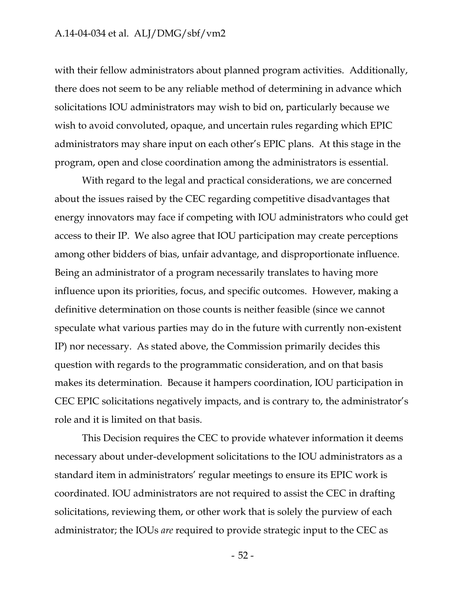with their fellow administrators about planned program activities. Additionally, there does not seem to be any reliable method of determining in advance which solicitations IOU administrators may wish to bid on, particularly because we wish to avoid convoluted, opaque, and uncertain rules regarding which EPIC administrators may share input on each other's EPIC plans. At this stage in the program, open and close coordination among the administrators is essential.

With regard to the legal and practical considerations, we are concerned about the issues raised by the CEC regarding competitive disadvantages that energy innovators may face if competing with IOU administrators who could get access to their IP. We also agree that IOU participation may create perceptions among other bidders of bias, unfair advantage, and disproportionate influence. Being an administrator of a program necessarily translates to having more influence upon its priorities, focus, and specific outcomes. However, making a definitive determination on those counts is neither feasible (since we cannot speculate what various parties may do in the future with currently non-existent IP) nor necessary. As stated above, the Commission primarily decides this question with regards to the programmatic consideration, and on that basis makes its determination. Because it hampers coordination, IOU participation in CEC EPIC solicitations negatively impacts, and is contrary to, the administrator's role and it is limited on that basis.

This Decision requires the CEC to provide whatever information it deems necessary about under-development solicitations to the IOU administrators as a standard item in administrators' regular meetings to ensure its EPIC work is coordinated. IOU administrators are not required to assist the CEC in drafting solicitations, reviewing them, or other work that is solely the purview of each administrator; the IOUs *are* required to provide strategic input to the CEC as

- 52 -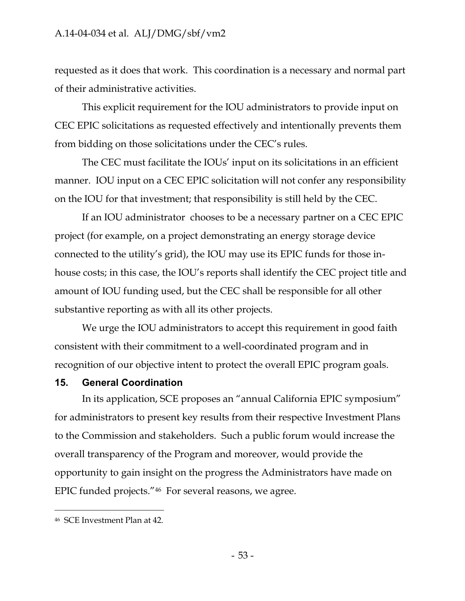requested as it does that work. This coordination is a necessary and normal part of their administrative activities.

This explicit requirement for the IOU administrators to provide input on CEC EPIC solicitations as requested effectively and intentionally prevents them from bidding on those solicitations under the CEC's rules.

The CEC must facilitate the IOUs' input on its solicitations in an efficient manner. IOU input on a CEC EPIC solicitation will not confer any responsibility on the IOU for that investment; that responsibility is still held by the CEC.

If an IOU administrator chooses to be a necessary partner on a CEC EPIC project (for example, on a project demonstrating an energy storage device connected to the utility's grid), the IOU may use its EPIC funds for those inhouse costs; in this case, the IOU's reports shall identify the CEC project title and amount of IOU funding used, but the CEC shall be responsible for all other substantive reporting as with all its other projects.

We urge the IOU administrators to accept this requirement in good faith consistent with their commitment to a well-coordinated program and in recognition of our objective intent to protect the overall EPIC program goals.

### **15. General Coordination**

In its application, SCE proposes an "annual California EPIC symposium" for administrators to present key results from their respective Investment Plans to the Commission and stakeholders. Such a public forum would increase the overall transparency of the Program and moreover, would provide the opportunity to gain insight on the progress the Administrators have made on EPIC funded projects."<sup>46</sup> For several reasons, we agree.

<sup>46</sup> SCE Investment Plan at 42.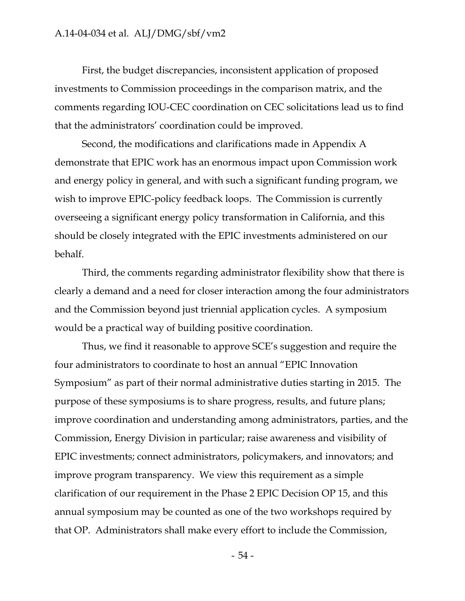First, the budget discrepancies, inconsistent application of proposed investments to Commission proceedings in the comparison matrix, and the comments regarding IOU-CEC coordination on CEC solicitations lead us to find that the administrators' coordination could be improved.

Second, the modifications and clarifications made in Appendix A demonstrate that EPIC work has an enormous impact upon Commission work and energy policy in general, and with such a significant funding program, we wish to improve EPIC-policy feedback loops. The Commission is currently overseeing a significant energy policy transformation in California, and this should be closely integrated with the EPIC investments administered on our behalf.

Third, the comments regarding administrator flexibility show that there is clearly a demand and a need for closer interaction among the four administrators and the Commission beyond just triennial application cycles. A symposium would be a practical way of building positive coordination.

Thus, we find it reasonable to approve SCE's suggestion and require the four administrators to coordinate to host an annual "EPIC Innovation Symposium" as part of their normal administrative duties starting in 2015. The purpose of these symposiums is to share progress, results, and future plans; improve coordination and understanding among administrators, parties, and the Commission, Energy Division in particular; raise awareness and visibility of EPIC investments; connect administrators, policymakers, and innovators; and improve program transparency. We view this requirement as a simple clarification of our requirement in the Phase 2 EPIC Decision OP 15, and this annual symposium may be counted as one of the two workshops required by that OP. Administrators shall make every effort to include the Commission,

- 54 -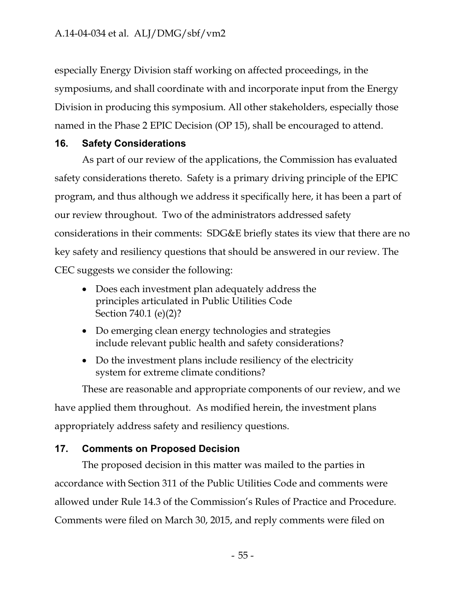especially Energy Division staff working on affected proceedings, in the symposiums, and shall coordinate with and incorporate input from the Energy Division in producing this symposium. All other stakeholders, especially those named in the Phase 2 EPIC Decision (OP 15), shall be encouraged to attend.

# **16. Safety Considerations**

As part of our review of the applications, the Commission has evaluated safety considerations thereto. Safety is a primary driving principle of the EPIC program, and thus although we address it specifically here, it has been a part of our review throughout. Two of the administrators addressed safety considerations in their comments: SDG&E briefly states its view that there are no key safety and resiliency questions that should be answered in our review. The CEC suggests we consider the following:

- Does each investment plan adequately address the principles articulated in Public Utilities Code Section 740.1 (e)(2)?
- Do emerging clean energy technologies and strategies include relevant public health and safety considerations?
- Do the investment plans include resiliency of the electricity system for extreme climate conditions?

These are reasonable and appropriate components of our review, and we have applied them throughout. As modified herein, the investment plans appropriately address safety and resiliency questions.

# **17. Comments on Proposed Decision**

The proposed decision in this matter was mailed to the parties in accordance with Section 311 of the Public Utilities Code and comments were allowed under Rule 14.3 of the Commission's Rules of Practice and Procedure. Comments were filed on March 30, 2015, and reply comments were filed on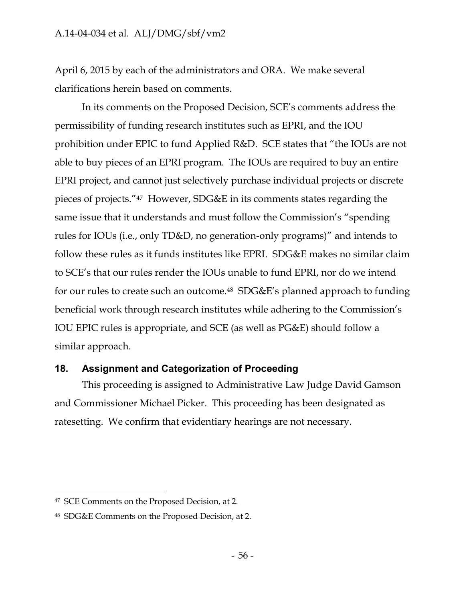April 6, 2015 by each of the administrators and ORA. We make several clarifications herein based on comments.

In its comments on the Proposed Decision, SCE's comments address the permissibility of funding research institutes such as EPRI, and the IOU prohibition under EPIC to fund Applied R&D. SCE states that "the IOUs are not able to buy pieces of an EPRI program. The IOUs are required to buy an entire EPRI project, and cannot just selectively purchase individual projects or discrete pieces of projects."<sup>47</sup> However, SDG&E in its comments states regarding the same issue that it understands and must follow the Commission's "spending rules for IOUs (i.e., only TD&D, no generation-only programs)" and intends to follow these rules as it funds institutes like EPRI. SDG&E makes no similar claim to SCE's that our rules render the IOUs unable to fund EPRI, nor do we intend for our rules to create such an outcome.<sup>48</sup> SDG&E's planned approach to funding beneficial work through research institutes while adhering to the Commission's IOU EPIC rules is appropriate, and SCE (as well as PG&E) should follow a similar approach.

# **18. Assignment and Categorization of Proceeding**

This proceeding is assigned to Administrative Law Judge David Gamson and Commissioner Michael Picker. This proceeding has been designated as ratesetting. We confirm that evidentiary hearings are not necessary.

<sup>47</sup> SCE Comments on the Proposed Decision, at 2.

<sup>48</sup> SDG&E Comments on the Proposed Decision, at 2.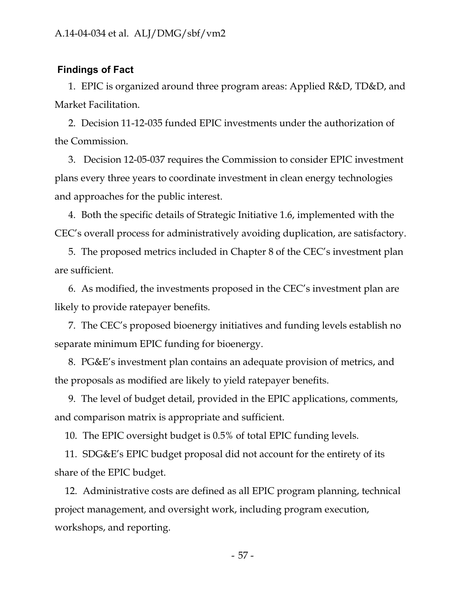#### **Findings of Fact**

1. EPIC is organized around three program areas: Applied R&D, TD&D, and Market Facilitation.

2. Decision 11-12-035 funded EPIC investments under the authorization of the Commission.

3. Decision 12-05-037 requires the Commission to consider EPIC investment plans every three years to coordinate investment in clean energy technologies and approaches for the public interest.

4. Both the specific details of Strategic Initiative 1.6, implemented with the CEC's overall process for administratively avoiding duplication, are satisfactory.

5. The proposed metrics included in Chapter 8 of the CEC's investment plan are sufficient.

6. As modified, the investments proposed in the CEC's investment plan are likely to provide ratepayer benefits.

7. The CEC's proposed bioenergy initiatives and funding levels establish no separate minimum EPIC funding for bioenergy.

8. PG&E's investment plan contains an adequate provision of metrics, and the proposals as modified are likely to yield ratepayer benefits.

9. The level of budget detail, provided in the EPIC applications, comments, and comparison matrix is appropriate and sufficient.

10. The EPIC oversight budget is 0.5% of total EPIC funding levels.

11. SDG&E's EPIC budget proposal did not account for the entirety of its share of the EPIC budget.

12. Administrative costs are defined as all EPIC program planning, technical project management, and oversight work, including program execution, workshops, and reporting.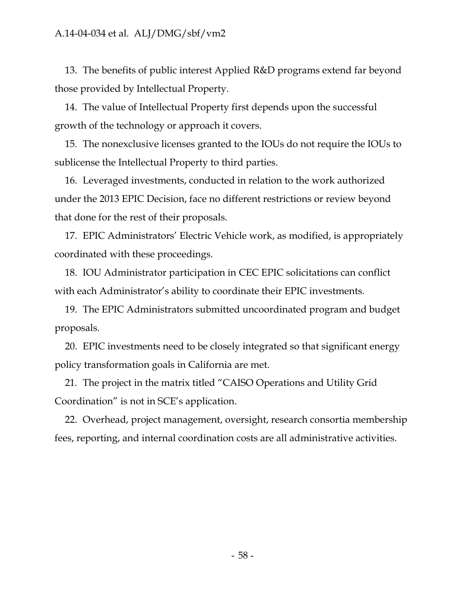13. The benefits of public interest Applied R&D programs extend far beyond those provided by Intellectual Property.

14. The value of Intellectual Property first depends upon the successful growth of the technology or approach it covers.

15. The nonexclusive licenses granted to the IOUs do not require the IOUs to sublicense the Intellectual Property to third parties.

16. Leveraged investments, conducted in relation to the work authorized under the 2013 EPIC Decision, face no different restrictions or review beyond that done for the rest of their proposals.

17. EPIC Administrators' Electric Vehicle work, as modified, is appropriately coordinated with these proceedings.

18. IOU Administrator participation in CEC EPIC solicitations can conflict with each Administrator's ability to coordinate their EPIC investments.

19. The EPIC Administrators submitted uncoordinated program and budget proposals.

20. EPIC investments need to be closely integrated so that significant energy policy transformation goals in California are met.

21. The project in the matrix titled "CAISO Operations and Utility Grid Coordination" is not in SCE's application.

22. Overhead, project management, oversight, research consortia membership fees, reporting, and internal coordination costs are all administrative activities.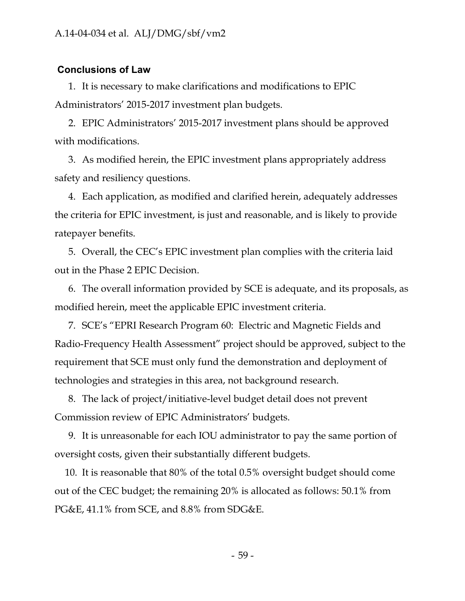### **Conclusions of Law**

1. It is necessary to make clarifications and modifications to EPIC Administrators' 2015-2017 investment plan budgets.

2. EPIC Administrators' 2015-2017 investment plans should be approved with modifications.

3. As modified herein, the EPIC investment plans appropriately address safety and resiliency questions.

4. Each application, as modified and clarified herein, adequately addresses the criteria for EPIC investment, is just and reasonable, and is likely to provide ratepayer benefits.

5. Overall, the CEC's EPIC investment plan complies with the criteria laid out in the Phase 2 EPIC Decision.

6. The overall information provided by SCE is adequate, and its proposals, as modified herein, meet the applicable EPIC investment criteria.

7. SCE's "EPRI Research Program 60: Electric and Magnetic Fields and Radio-Frequency Health Assessment" project should be approved, subject to the requirement that SCE must only fund the demonstration and deployment of technologies and strategies in this area, not background research.

8. The lack of project/initiative-level budget detail does not prevent Commission review of EPIC Administrators' budgets.

9. It is unreasonable for each IOU administrator to pay the same portion of oversight costs, given their substantially different budgets.

10. It is reasonable that 80% of the total 0.5% oversight budget should come out of the CEC budget; the remaining 20% is allocated as follows: 50.1% from PG&E, 41.1% from SCE, and 8.8% from SDG&E.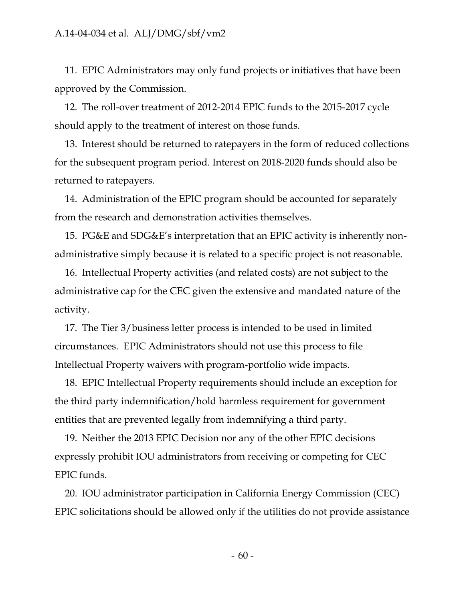11. EPIC Administrators may only fund projects or initiatives that have been approved by the Commission.

12. The roll-over treatment of 2012-2014 EPIC funds to the 2015-2017 cycle should apply to the treatment of interest on those funds.

13. Interest should be returned to ratepayers in the form of reduced collections for the subsequent program period. Interest on 2018-2020 funds should also be returned to ratepayers.

14. Administration of the EPIC program should be accounted for separately from the research and demonstration activities themselves.

15. PG&E and SDG&E's interpretation that an EPIC activity is inherently nonadministrative simply because it is related to a specific project is not reasonable.

16. Intellectual Property activities (and related costs) are not subject to the administrative cap for the CEC given the extensive and mandated nature of the activity.

17. The Tier 3/business letter process is intended to be used in limited circumstances. EPIC Administrators should not use this process to file Intellectual Property waivers with program-portfolio wide impacts.

18. EPIC Intellectual Property requirements should include an exception for the third party indemnification/hold harmless requirement for government entities that are prevented legally from indemnifying a third party.

19. Neither the 2013 EPIC Decision nor any of the other EPIC decisions expressly prohibit IOU administrators from receiving or competing for CEC EPIC funds.

20. IOU administrator participation in California Energy Commission (CEC) EPIC solicitations should be allowed only if the utilities do not provide assistance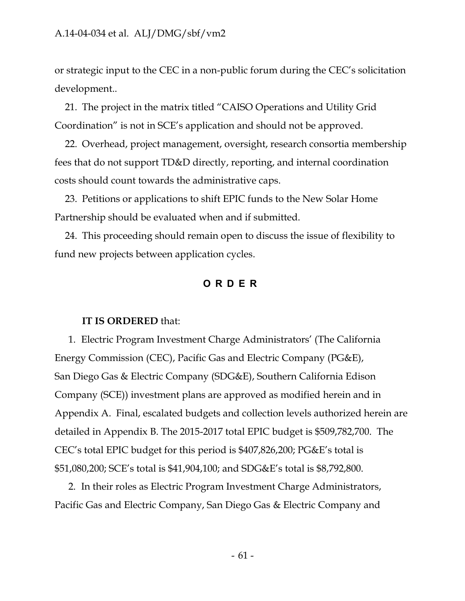or strategic input to the CEC in a non-public forum during the CEC's solicitation development..

21. The project in the matrix titled "CAISO Operations and Utility Grid Coordination" is not in SCE's application and should not be approved.

22. Overhead, project management, oversight, research consortia membership fees that do not support TD&D directly, reporting, and internal coordination costs should count towards the administrative caps.

23. Petitions or applications to shift EPIC funds to the New Solar Home Partnership should be evaluated when and if submitted.

24. This proceeding should remain open to discuss the issue of flexibility to fund new projects between application cycles.

### **ORDER**

#### **IT IS ORDERED** that:

1. Electric Program Investment Charge Administrators' (The California Energy Commission (CEC), Pacific Gas and Electric Company (PG&E), San Diego Gas & Electric Company (SDG&E), Southern California Edison Company (SCE)) investment plans are approved as modified herein and in Appendix A. Final, escalated budgets and collection levels authorized herein are detailed in Appendix B. The 2015-2017 total EPIC budget is \$509,782,700. The CEC's total EPIC budget for this period is \$407,826,200; PG&E's total is \$51,080,200; SCE's total is \$41,904,100; and SDG&E's total is \$8,792,800.

2. In their roles as Electric Program Investment Charge Administrators, Pacific Gas and Electric Company, San Diego Gas & Electric Company and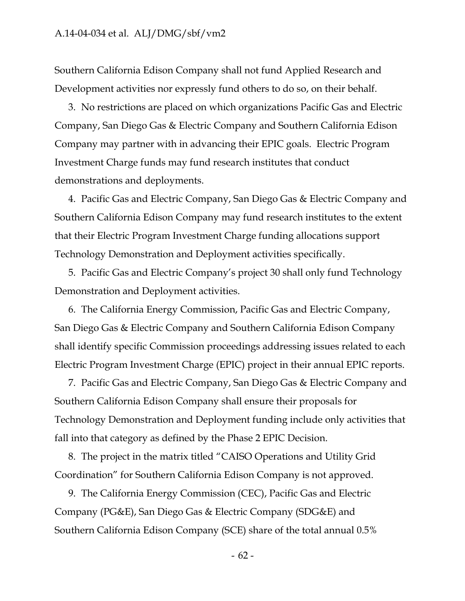Southern California Edison Company shall not fund Applied Research and Development activities nor expressly fund others to do so, on their behalf.

3. No restrictions are placed on which organizations Pacific Gas and Electric Company, San Diego Gas & Electric Company and Southern California Edison Company may partner with in advancing their EPIC goals. Electric Program Investment Charge funds may fund research institutes that conduct demonstrations and deployments.

4. Pacific Gas and Electric Company, San Diego Gas & Electric Company and Southern California Edison Company may fund research institutes to the extent that their Electric Program Investment Charge funding allocations support Technology Demonstration and Deployment activities specifically.

5. Pacific Gas and Electric Company's project 30 shall only fund Technology Demonstration and Deployment activities.

6. The California Energy Commission, Pacific Gas and Electric Company, San Diego Gas & Electric Company and Southern California Edison Company shall identify specific Commission proceedings addressing issues related to each Electric Program Investment Charge (EPIC) project in their annual EPIC reports.

7. Pacific Gas and Electric Company, San Diego Gas & Electric Company and Southern California Edison Company shall ensure their proposals for Technology Demonstration and Deployment funding include only activities that fall into that category as defined by the Phase 2 EPIC Decision.

8. The project in the matrix titled "CAISO Operations and Utility Grid Coordination" for Southern California Edison Company is not approved.

9. The California Energy Commission (CEC), Pacific Gas and Electric Company (PG&E), San Diego Gas & Electric Company (SDG&E) and Southern California Edison Company (SCE) share of the total annual 0.5%

- 62 -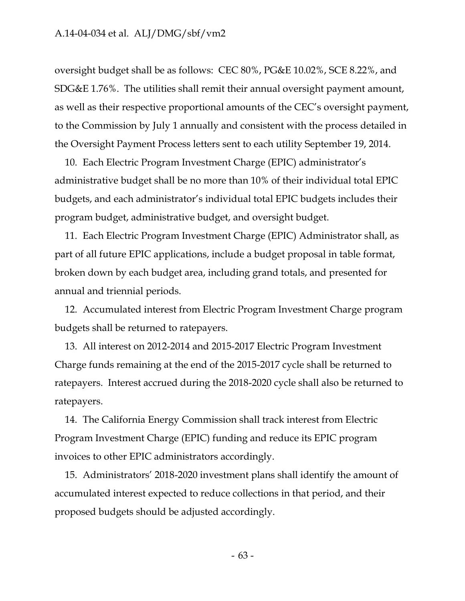oversight budget shall be as follows: CEC 80%, PG&E 10.02%, SCE 8.22%, and SDG&E 1.76%. The utilities shall remit their annual oversight payment amount, as well as their respective proportional amounts of the CEC's oversight payment, to the Commission by July 1 annually and consistent with the process detailed in the Oversight Payment Process letters sent to each utility September 19, 2014.

10. Each Electric Program Investment Charge (EPIC) administrator's administrative budget shall be no more than 10% of their individual total EPIC budgets, and each administrator's individual total EPIC budgets includes their program budget, administrative budget, and oversight budget.

11. Each Electric Program Investment Charge (EPIC) Administrator shall, as part of all future EPIC applications, include a budget proposal in table format, broken down by each budget area, including grand totals, and presented for annual and triennial periods.

12. Accumulated interest from Electric Program Investment Charge program budgets shall be returned to ratepayers.

13. All interest on 2012-2014 and 2015-2017 Electric Program Investment Charge funds remaining at the end of the 2015-2017 cycle shall be returned to ratepayers. Interest accrued during the 2018-2020 cycle shall also be returned to ratepayers.

14. The California Energy Commission shall track interest from Electric Program Investment Charge (EPIC) funding and reduce its EPIC program invoices to other EPIC administrators accordingly.

15. Administrators' 2018-2020 investment plans shall identify the amount of accumulated interest expected to reduce collections in that period, and their proposed budgets should be adjusted accordingly.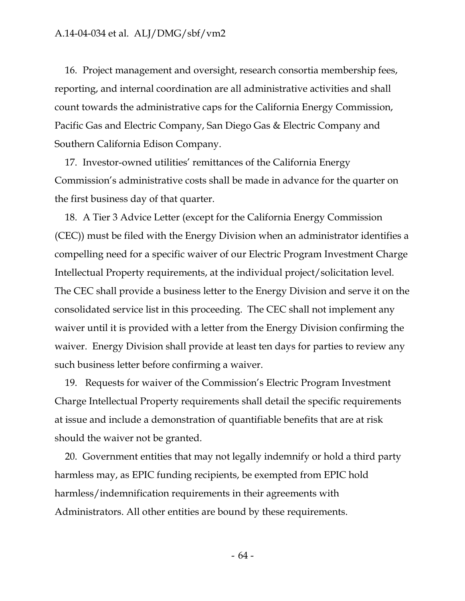16. Project management and oversight, research consortia membership fees, reporting, and internal coordination are all administrative activities and shall count towards the administrative caps for the California Energy Commission, Pacific Gas and Electric Company, San Diego Gas & Electric Company and Southern California Edison Company.

17. Investor-owned utilities' remittances of the California Energy Commission's administrative costs shall be made in advance for the quarter on the first business day of that quarter.

18. A Tier 3 Advice Letter (except for the California Energy Commission (CEC)) must be filed with the Energy Division when an administrator identifies a compelling need for a specific waiver of our Electric Program Investment Charge Intellectual Property requirements, at the individual project/solicitation level. The CEC shall provide a business letter to the Energy Division and serve it on the consolidated service list in this proceeding. The CEC shall not implement any waiver until it is provided with a letter from the Energy Division confirming the waiver. Energy Division shall provide at least ten days for parties to review any such business letter before confirming a waiver.

19. Requests for waiver of the Commission's Electric Program Investment Charge Intellectual Property requirements shall detail the specific requirements at issue and include a demonstration of quantifiable benefits that are at risk should the waiver not be granted.

20. Government entities that may not legally indemnify or hold a third party harmless may, as EPIC funding recipients, be exempted from EPIC hold harmless/indemnification requirements in their agreements with Administrators. All other entities are bound by these requirements.

- 64 -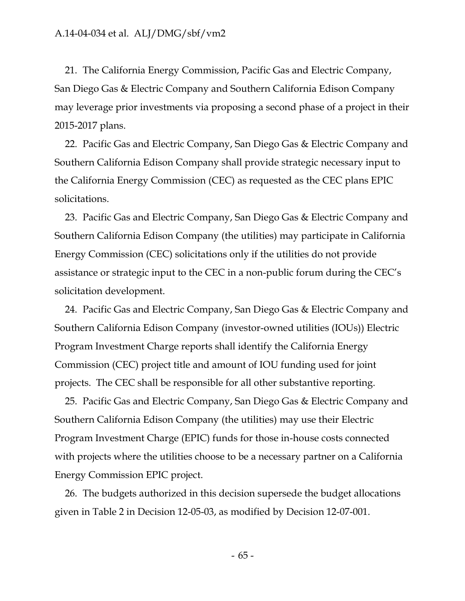21. The California Energy Commission, Pacific Gas and Electric Company, San Diego Gas & Electric Company and Southern California Edison Company may leverage prior investments via proposing a second phase of a project in their 2015-2017 plans.

22. Pacific Gas and Electric Company, San Diego Gas & Electric Company and Southern California Edison Company shall provide strategic necessary input to the California Energy Commission (CEC) as requested as the CEC plans EPIC solicitations.

23. Pacific Gas and Electric Company, San Diego Gas & Electric Company and Southern California Edison Company (the utilities) may participate in California Energy Commission (CEC) solicitations only if the utilities do not provide assistance or strategic input to the CEC in a non-public forum during the CEC's solicitation development.

24. Pacific Gas and Electric Company, San Diego Gas & Electric Company and Southern California Edison Company (investor-owned utilities (IOUs)) Electric Program Investment Charge reports shall identify the California Energy Commission (CEC) project title and amount of IOU funding used for joint projects. The CEC shall be responsible for all other substantive reporting.

25. Pacific Gas and Electric Company, San Diego Gas & Electric Company and Southern California Edison Company (the utilities) may use their Electric Program Investment Charge (EPIC) funds for those in-house costs connected with projects where the utilities choose to be a necessary partner on a California Energy Commission EPIC project.

26. The budgets authorized in this decision supersede the budget allocations given in Table 2 in Decision 12-05-03, as modified by Decision 12-07-001.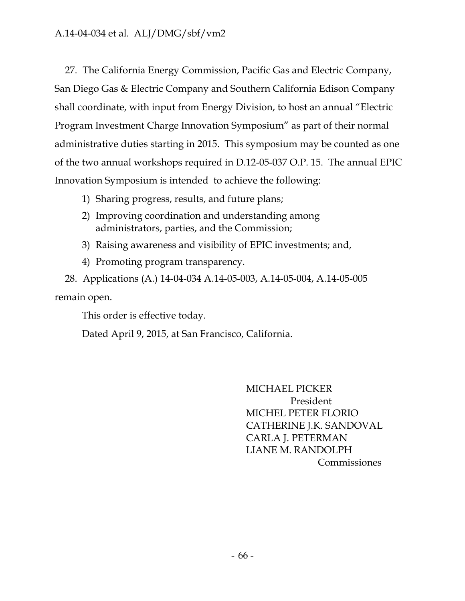27. The California Energy Commission, Pacific Gas and Electric Company, San Diego Gas & Electric Company and Southern California Edison Company shall coordinate, with input from Energy Division, to host an annual "Electric Program Investment Charge Innovation Symposium" as part of their normal administrative duties starting in 2015. This symposium may be counted as one of the two annual workshops required in D.12-05-037 O.P. 15. The annual EPIC Innovation Symposium is intended to achieve the following:

- 1) Sharing progress, results, and future plans;
- 2) Improving coordination and understanding among administrators, parties, and the Commission;
- 3) Raising awareness and visibility of EPIC investments; and,
- 4) Promoting program transparency.

28. Applications (A.) 14-04-034 A.14-05-003, A.14-05-004, A.14-05-005 remain open.

This order is effective today.

Dated April 9, 2015, at San Francisco, California.

MICHAEL PICKER President MICHEL PETER FLORIO CATHERINE J.K. SANDOVAL CARLA J. PETERMAN LIANE M. RANDOLPH Commissiones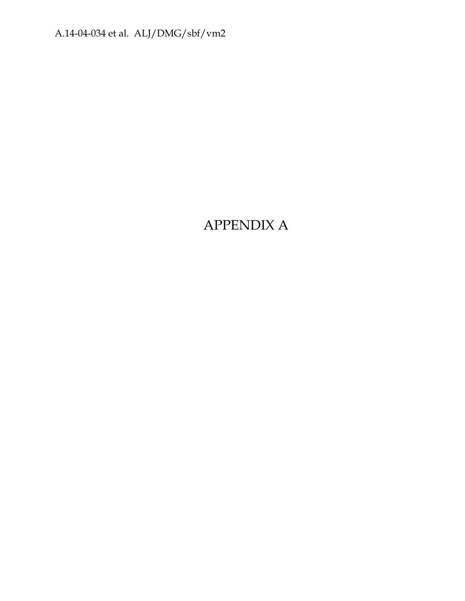# APPENDIX A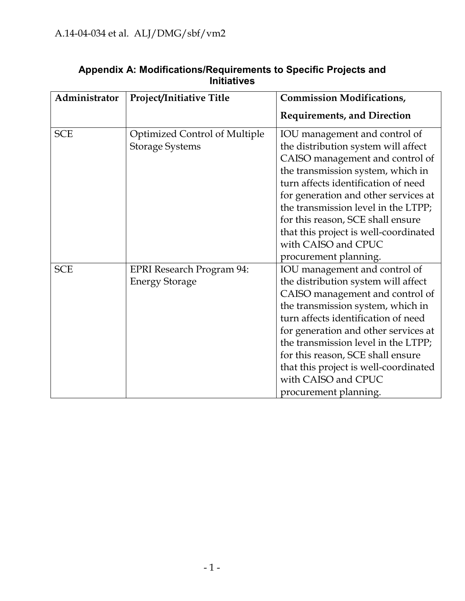| Administrator | Project/Initiative Title                                       | <b>Commission Modifications,</b>                                                                                                                                                                                                                                                                                                                                                                 |
|---------------|----------------------------------------------------------------|--------------------------------------------------------------------------------------------------------------------------------------------------------------------------------------------------------------------------------------------------------------------------------------------------------------------------------------------------------------------------------------------------|
|               |                                                                | <b>Requirements, and Direction</b>                                                                                                                                                                                                                                                                                                                                                               |
| <b>SCE</b>    | <b>Optimized Control of Multiple</b><br><b>Storage Systems</b> | IOU management and control of<br>the distribution system will affect<br>CAISO management and control of<br>the transmission system, which in<br>turn affects identification of need<br>for generation and other services at<br>the transmission level in the LTPP;<br>for this reason, SCE shall ensure<br>that this project is well-coordinated<br>with CAISO and CPUC<br>procurement planning. |
| <b>SCE</b>    | <b>EPRI Research Program 94:</b><br><b>Energy Storage</b>      | IOU management and control of<br>the distribution system will affect<br>CAISO management and control of<br>the transmission system, which in<br>turn affects identification of need<br>for generation and other services at<br>the transmission level in the LTPP;<br>for this reason, SCE shall ensure<br>that this project is well-coordinated<br>with CAISO and CPUC<br>procurement planning. |

# **Appendix A: Modifications/Requirements to Specific Projects and Initiatives**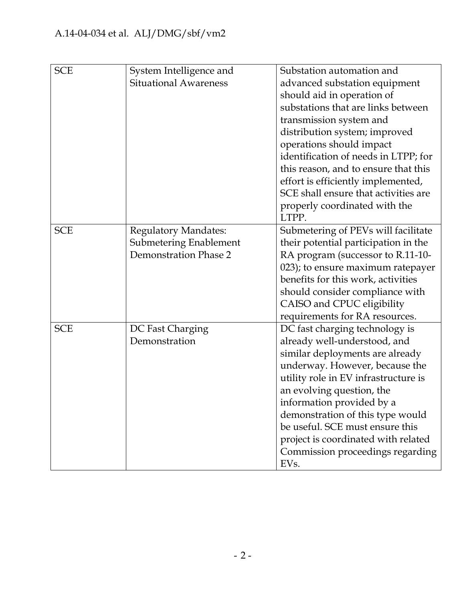| <b>SCE</b> | System Intelligence and      | Substation automation and            |
|------------|------------------------------|--------------------------------------|
|            | <b>Situational Awareness</b> | advanced substation equipment        |
|            |                              | should aid in operation of           |
|            |                              | substations that are links between   |
|            |                              | transmission system and              |
|            |                              | distribution system; improved        |
|            |                              | operations should impact             |
|            |                              | identification of needs in LTPP; for |
|            |                              | this reason, and to ensure that this |
|            |                              | effort is efficiently implemented,   |
|            |                              | SCE shall ensure that activities are |
|            |                              | properly coordinated with the        |
|            |                              | LTPP.                                |
| <b>SCE</b> | <b>Regulatory Mandates:</b>  | Submetering of PEVs will facilitate  |
|            | Submetering Enablement       | their potential participation in the |
|            | <b>Demonstration Phase 2</b> | RA program (successor to R.11-10-    |
|            |                              | 023); to ensure maximum ratepayer    |
|            |                              | benefits for this work, activities   |
|            |                              | should consider compliance with      |
|            |                              | CAISO and CPUC eligibility           |
|            |                              | requirements for RA resources.       |
| <b>SCE</b> | DC Fast Charging             | DC fast charging technology is       |
|            | Demonstration                | already well-understood, and         |
|            |                              | similar deployments are already      |
|            |                              | underway. However, because the       |
|            |                              | utility role in EV infrastructure is |
|            |                              | an evolving question, the            |
|            |                              | information provided by a            |
|            |                              | demonstration of this type would     |
|            |                              | be useful. SCE must ensure this      |
|            |                              | project is coordinated with related  |
|            |                              | Commission proceedings regarding     |
|            |                              | EV <sub>s</sub> .                    |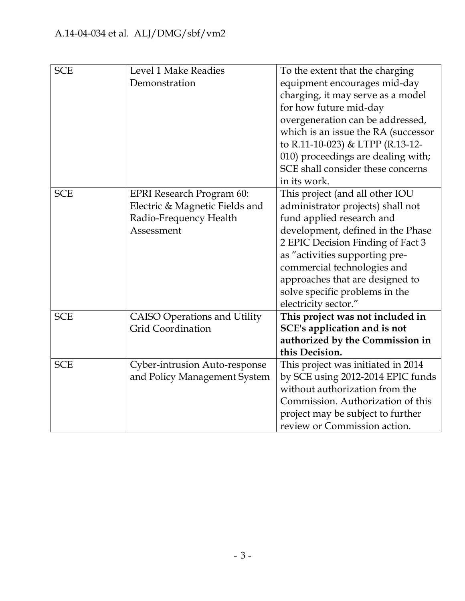| <b>SCE</b> | <b>Level 1 Make Readies</b>         | To the extent that the charging     |
|------------|-------------------------------------|-------------------------------------|
|            | Demonstration                       | equipment encourages mid-day        |
|            |                                     | charging, it may serve as a model   |
|            |                                     | for how future mid-day              |
|            |                                     | overgeneration can be addressed,    |
|            |                                     | which is an issue the RA (successor |
|            |                                     | to R.11-10-023) & LTPP (R.13-12-    |
|            |                                     | 010) proceedings are dealing with;  |
|            |                                     | SCE shall consider these concerns   |
|            |                                     | in its work.                        |
| <b>SCE</b> | <b>EPRI</b> Research Program 60:    | This project (and all other IOU     |
|            | Electric & Magnetic Fields and      | administrator projects) shall not   |
|            | Radio-Frequency Health              | fund applied research and           |
|            | Assessment                          | development, defined in the Phase   |
|            |                                     | 2 EPIC Decision Finding of Fact 3   |
|            |                                     | as "activities supporting pre-      |
|            |                                     | commercial technologies and         |
|            |                                     | approaches that are designed to     |
|            |                                     | solve specific problems in the      |
|            |                                     | electricity sector."                |
| <b>SCE</b> | <b>CAISO Operations and Utility</b> | This project was not included in    |
|            | <b>Grid Coordination</b>            | SCE's application and is not        |
|            |                                     | authorized by the Commission in     |
|            |                                     | this Decision.                      |
| <b>SCE</b> | Cyber-intrusion Auto-response       | This project was initiated in 2014  |
|            | and Policy Management System        | by SCE using 2012-2014 EPIC funds   |
|            |                                     | without authorization from the      |
|            |                                     | Commission. Authorization of this   |
|            |                                     | project may be subject to further   |
|            |                                     | review or Commission action.        |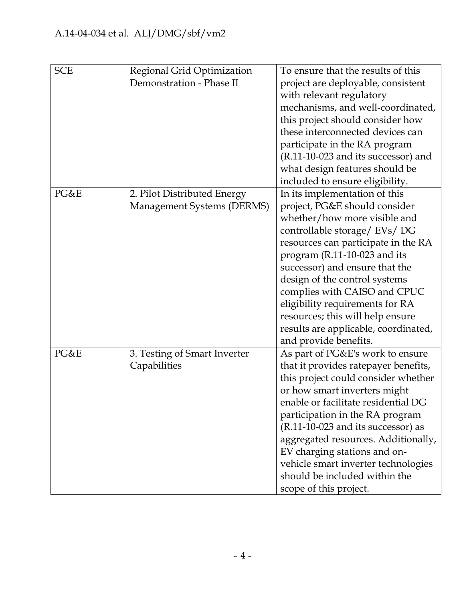| <b>SCE</b> | Regional Grid Optimization   | To ensure that the results of this   |
|------------|------------------------------|--------------------------------------|
|            | Demonstration - Phase II     | project are deployable, consistent   |
|            |                              | with relevant regulatory             |
|            |                              | mechanisms, and well-coordinated,    |
|            |                              | this project should consider how     |
|            |                              | these interconnected devices can     |
|            |                              | participate in the RA program        |
|            |                              | (R.11-10-023 and its successor) and  |
|            |                              | what design features should be       |
|            |                              | included to ensure eligibility.      |
| PG&E       | 2. Pilot Distributed Energy  | In its implementation of this        |
|            | Management Systems (DERMS)   | project, PG&E should consider        |
|            |                              | whether/how more visible and         |
|            |                              | controllable storage/ EVs/ DG        |
|            |                              | resources can participate in the RA  |
|            |                              | program (R.11-10-023 and its         |
|            |                              | successor) and ensure that the       |
|            |                              | design of the control systems        |
|            |                              | complies with CAISO and CPUC         |
|            |                              | eligibility requirements for RA      |
|            |                              | resources; this will help ensure     |
|            |                              | results are applicable, coordinated, |
|            |                              | and provide benefits.                |
| PG&E       | 3. Testing of Smart Inverter | As part of PG&E's work to ensure     |
|            | Capabilities                 | that it provides ratepayer benefits, |
|            |                              | this project could consider whether  |
|            |                              | or how smart inverters might         |
|            |                              | enable or facilitate residential DG  |
|            |                              | participation in the RA program      |
|            |                              | $(R.11-10-023$ and its successor) as |
|            |                              | aggregated resources. Additionally,  |
|            |                              | EV charging stations and on-         |
|            |                              | vehicle smart inverter technologies  |
|            |                              | should be included within the        |
|            |                              | scope of this project.               |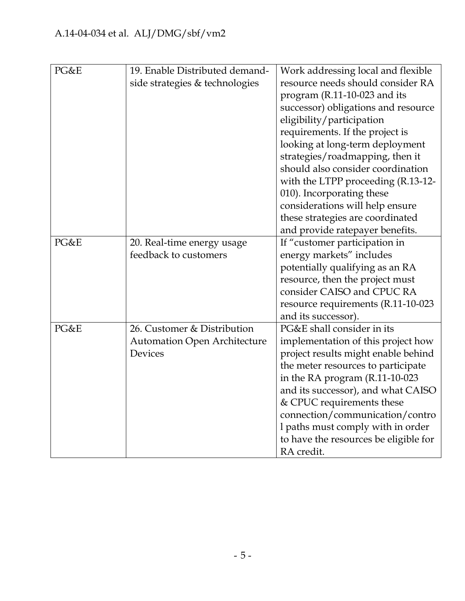| PG&E | 19. Enable Distributed demand-<br>side strategies & technologies | Work addressing local and flexible<br>resource needs should consider RA<br>program (R.11-10-023 and its<br>successor) obligations and resource<br>eligibility/participation<br>requirements. If the project is<br>looking at long-term deployment<br>strategies/roadmapping, then it<br>should also consider coordination<br>with the LTPP proceeding (R.13-12-<br>010). Incorporating these<br>considerations will help ensure<br>these strategies are coordinated<br>and provide ratepayer benefits. |
|------|------------------------------------------------------------------|--------------------------------------------------------------------------------------------------------------------------------------------------------------------------------------------------------------------------------------------------------------------------------------------------------------------------------------------------------------------------------------------------------------------------------------------------------------------------------------------------------|
| PG&E | 20. Real-time energy usage                                       | If "customer participation in                                                                                                                                                                                                                                                                                                                                                                                                                                                                          |
|      | feedback to customers                                            | energy markets" includes                                                                                                                                                                                                                                                                                                                                                                                                                                                                               |
|      |                                                                  | potentially qualifying as an RA                                                                                                                                                                                                                                                                                                                                                                                                                                                                        |
|      |                                                                  | resource, then the project must                                                                                                                                                                                                                                                                                                                                                                                                                                                                        |
|      |                                                                  | consider CAISO and CPUC RA                                                                                                                                                                                                                                                                                                                                                                                                                                                                             |
|      |                                                                  | resource requirements (R.11-10-023                                                                                                                                                                                                                                                                                                                                                                                                                                                                     |
|      |                                                                  | and its successor).                                                                                                                                                                                                                                                                                                                                                                                                                                                                                    |
| PG&E | 26. Customer & Distribution                                      | PG&E shall consider in its                                                                                                                                                                                                                                                                                                                                                                                                                                                                             |
|      | <b>Automation Open Architecture</b>                              | implementation of this project how                                                                                                                                                                                                                                                                                                                                                                                                                                                                     |
|      | <b>Devices</b>                                                   | project results might enable behind                                                                                                                                                                                                                                                                                                                                                                                                                                                                    |
|      |                                                                  | the meter resources to participate                                                                                                                                                                                                                                                                                                                                                                                                                                                                     |
|      |                                                                  | in the RA program (R.11-10-023                                                                                                                                                                                                                                                                                                                                                                                                                                                                         |
|      |                                                                  | and its successor), and what CAISO<br>& CPUC requirements these                                                                                                                                                                                                                                                                                                                                                                                                                                        |
|      |                                                                  | connection/communication/contro                                                                                                                                                                                                                                                                                                                                                                                                                                                                        |
|      |                                                                  | I paths must comply with in order                                                                                                                                                                                                                                                                                                                                                                                                                                                                      |
|      |                                                                  | to have the resources be eligible for                                                                                                                                                                                                                                                                                                                                                                                                                                                                  |
|      |                                                                  | RA credit.                                                                                                                                                                                                                                                                                                                                                                                                                                                                                             |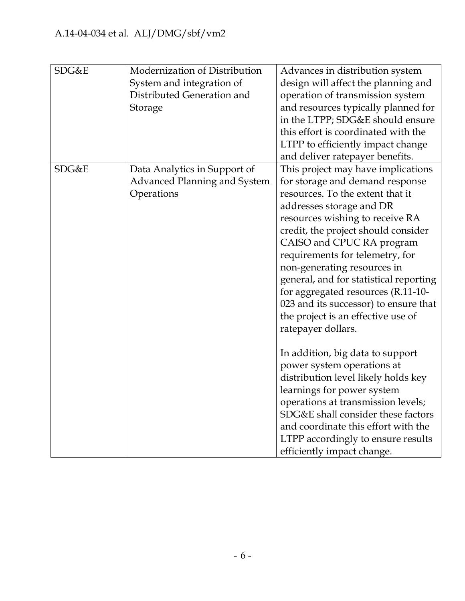| SDG&E | Modernization of Distribution | Advances in distribution system        |
|-------|-------------------------------|----------------------------------------|
|       | System and integration of     | design will affect the planning and    |
|       | Distributed Generation and    | operation of transmission system       |
|       | Storage                       | and resources typically planned for    |
|       |                               | in the LTPP; SDG&E should ensure       |
|       |                               | this effort is coordinated with the    |
|       |                               | LTPP to efficiently impact change      |
|       |                               | and deliver ratepayer benefits.        |
| SDG&E | Data Analytics in Support of  | This project may have implications     |
|       | Advanced Planning and System  | for storage and demand response        |
|       | Operations                    | resources. To the extent that it       |
|       |                               | addresses storage and DR               |
|       |                               | resources wishing to receive RA        |
|       |                               | credit, the project should consider    |
|       |                               | CAISO and CPUC RA program              |
|       |                               | requirements for telemetry, for        |
|       |                               | non-generating resources in            |
|       |                               | general, and for statistical reporting |
|       |                               | for aggregated resources (R.11-10-     |
|       |                               | 023 and its successor) to ensure that  |
|       |                               | the project is an effective use of     |
|       |                               | ratepayer dollars.                     |
|       |                               |                                        |
|       |                               | In addition, big data to support       |
|       |                               | power system operations at             |
|       |                               | distribution level likely holds key    |
|       |                               | learnings for power system             |
|       |                               | operations at transmission levels;     |
|       |                               | SDG&E shall consider these factors     |
|       |                               | and coordinate this effort with the    |
|       |                               | LTPP accordingly to ensure results     |
|       |                               | efficiently impact change.             |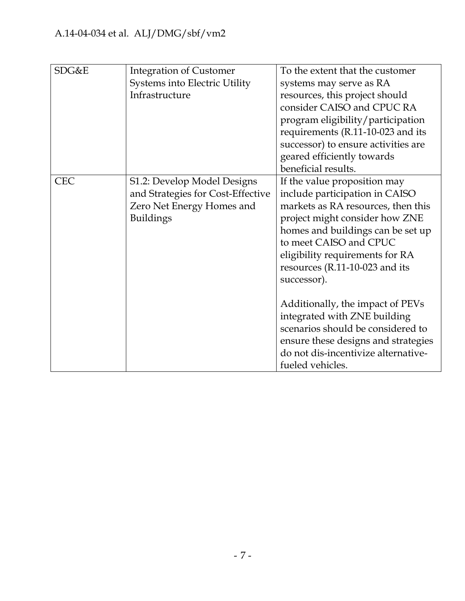| SDG&E      | <b>Integration of Customer</b>       | To the extent that the customer     |
|------------|--------------------------------------|-------------------------------------|
|            | <b>Systems into Electric Utility</b> | systems may serve as RA             |
|            | Infrastructure                       | resources, this project should      |
|            |                                      | consider CAISO and CPUC RA          |
|            |                                      | program eligibility/participation   |
|            |                                      | requirements (R.11-10-023 and its   |
|            |                                      | successor) to ensure activities are |
|            |                                      | geared efficiently towards          |
|            |                                      | beneficial results.                 |
| <b>CEC</b> | S1.2: Develop Model Designs          | If the value proposition may        |
|            | and Strategies for Cost-Effective    | include participation in CAISO      |
|            | Zero Net Energy Homes and            | markets as RA resources, then this  |
|            | <b>Buildings</b>                     | project might consider how ZNE      |
|            |                                      | homes and buildings can be set up   |
|            |                                      | to meet CAISO and CPUC              |
|            |                                      | eligibility requirements for RA     |
|            |                                      | resources (R.11-10-023 and its      |
|            |                                      | successor).                         |
|            |                                      |                                     |
|            |                                      | Additionally, the impact of PEVs    |
|            |                                      | integrated with ZNE building        |
|            |                                      | scenarios should be considered to   |
|            |                                      | ensure these designs and strategies |
|            |                                      | do not dis-incentivize alternative- |
|            |                                      | fueled vehicles.                    |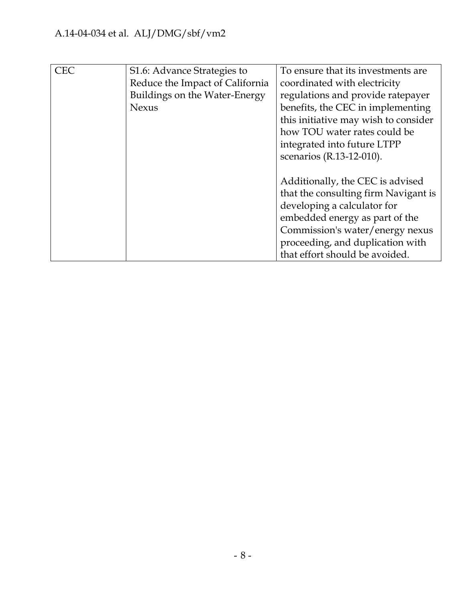| <b>CEC</b> | S1.6: Advance Strategies to     | To ensure that its investments are.  |
|------------|---------------------------------|--------------------------------------|
|            | Reduce the Impact of California | coordinated with electricity         |
|            | Buildings on the Water-Energy   | regulations and provide ratepayer    |
|            | <b>Nexus</b>                    | benefits, the CEC in implementing    |
|            |                                 | this initiative may wish to consider |
|            |                                 | how TOU water rates could be         |
|            |                                 | integrated into future LTPP          |
|            |                                 | scenarios (R.13-12-010).             |
|            |                                 |                                      |
|            |                                 | Additionally, the CEC is advised     |
|            |                                 | that the consulting firm Navigant is |
|            |                                 | developing a calculator for          |
|            |                                 | embedded energy as part of the       |
|            |                                 | Commission's water/energy nexus      |
|            |                                 | proceeding, and duplication with     |
|            |                                 | that effort should be avoided.       |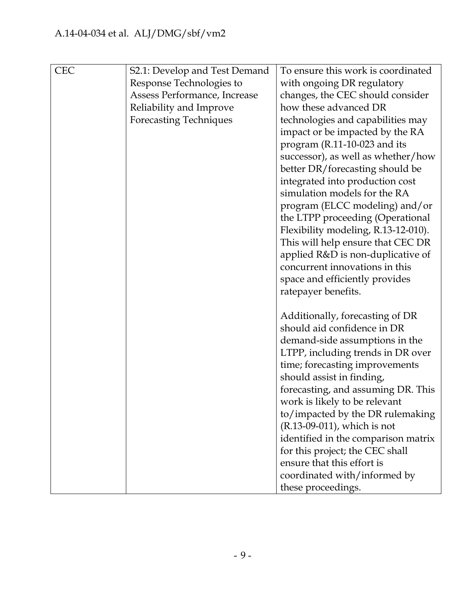| <b>CEC</b> | S2.1: Develop and Test Demand<br>Response Technologies to<br>Assess Performance, Increase<br>Reliability and Improve<br><b>Forecasting Techniques</b> | To ensure this work is coordinated<br>with ongoing DR regulatory<br>changes, the CEC should consider<br>how these advanced DR<br>technologies and capabilities may<br>impact or be impacted by the RA<br>program (R.11-10-023 and its<br>successor), as well as whether/how<br>better DR/forecasting should be<br>integrated into production cost<br>simulation models for the RA<br>program (ELCC modeling) and/or<br>the LTPP proceeding (Operational<br>Flexibility modeling, R.13-12-010).<br>This will help ensure that CEC DR |
|------------|-------------------------------------------------------------------------------------------------------------------------------------------------------|-------------------------------------------------------------------------------------------------------------------------------------------------------------------------------------------------------------------------------------------------------------------------------------------------------------------------------------------------------------------------------------------------------------------------------------------------------------------------------------------------------------------------------------|
|            |                                                                                                                                                       | applied R&D is non-duplicative of<br>concurrent innovations in this<br>space and efficiently provides<br>ratepayer benefits.                                                                                                                                                                                                                                                                                                                                                                                                        |
|            |                                                                                                                                                       | Additionally, forecasting of DR<br>should aid confidence in DR<br>demand-side assumptions in the<br>LTPP, including trends in DR over<br>time; forecasting improvements<br>should assist in finding,<br>forecasting, and assuming DR. This<br>work is likely to be relevant<br>to/impacted by the DR rulemaking<br>(R.13-09-011), which is not<br>identified in the comparison matrix<br>for this project; the CEC shall<br>ensure that this effort is<br>coordinated with/informed by                                              |
|            |                                                                                                                                                       | these proceedings.                                                                                                                                                                                                                                                                                                                                                                                                                                                                                                                  |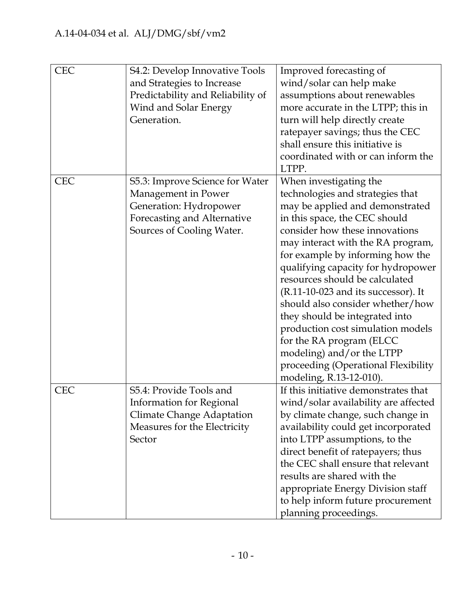| <b>CEC</b> | S4.2: Develop Innovative Tools<br>and Strategies to Increase<br>Predictability and Reliability of<br>Wind and Solar Energy<br>Generation.    | Improved forecasting of<br>wind/solar can help make<br>assumptions about renewables<br>more accurate in the LTPP; this in<br>turn will help directly create<br>ratepayer savings; thus the CEC<br>shall ensure this initiative is<br>coordinated with or can inform the<br>LTPP.                                                                                                                                                                                                                                                                                                                  |
|------------|----------------------------------------------------------------------------------------------------------------------------------------------|---------------------------------------------------------------------------------------------------------------------------------------------------------------------------------------------------------------------------------------------------------------------------------------------------------------------------------------------------------------------------------------------------------------------------------------------------------------------------------------------------------------------------------------------------------------------------------------------------|
| <b>CEC</b> | S5.3: Improve Science for Water<br>Management in Power<br>Generation: Hydropower<br>Forecasting and Alternative<br>Sources of Cooling Water. | When investigating the<br>technologies and strategies that<br>may be applied and demonstrated<br>in this space, the CEC should<br>consider how these innovations<br>may interact with the RA program,<br>for example by informing how the<br>qualifying capacity for hydropower<br>resources should be calculated<br>$(R.11-10-023$ and its successor). It<br>should also consider whether/how<br>they should be integrated into<br>production cost simulation models<br>for the RA program (ELCC)<br>modeling) and/or the LTPP<br>proceeding (Operational Flexibility<br>modeling, R.13-12-010). |
| <b>CEC</b> | S5.4: Provide Tools and<br><b>Information for Regional</b><br><b>Climate Change Adaptation</b><br>Measures for the Electricity<br>Sector     | If this initiative demonstrates that<br>wind/solar availability are affected<br>by climate change, such change in<br>availability could get incorporated<br>into LTPP assumptions, to the<br>direct benefit of ratepayers; thus<br>the CEC shall ensure that relevant<br>results are shared with the<br>appropriate Energy Division staff<br>to help inform future procurement<br>planning proceedings.                                                                                                                                                                                           |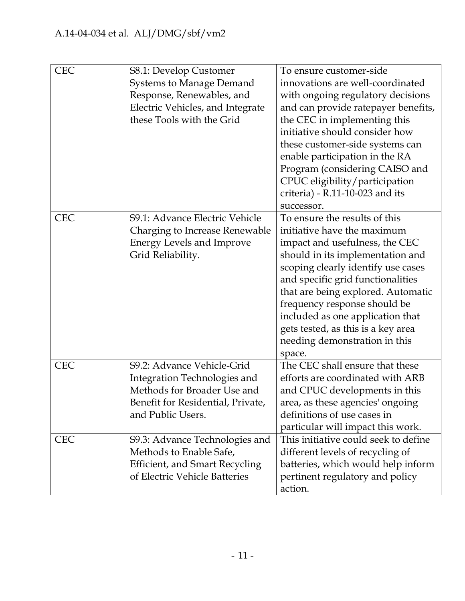| <b>CEC</b> | S8.1: Develop Customer<br><b>Systems to Manage Demand</b><br>Response, Renewables, and | To ensure customer-side<br>innovations are well-coordinated<br>with ongoing regulatory decisions |
|------------|----------------------------------------------------------------------------------------|--------------------------------------------------------------------------------------------------|
|            | Electric Vehicles, and Integrate                                                       | and can provide ratepayer benefits,                                                              |
|            | these Tools with the Grid                                                              | the CEC in implementing this                                                                     |
|            |                                                                                        | initiative should consider how                                                                   |
|            |                                                                                        | these customer-side systems can                                                                  |
|            |                                                                                        | enable participation in the RA                                                                   |
|            |                                                                                        | Program (considering CAISO and                                                                   |
|            |                                                                                        | CPUC eligibility/participation                                                                   |
|            |                                                                                        | criteria) - R.11-10-023 and its                                                                  |
|            |                                                                                        | successor.                                                                                       |
| <b>CEC</b> | <b>S9.1: Advance Electric Vehicle</b>                                                  | To ensure the results of this                                                                    |
|            | Charging to Increase Renewable                                                         | initiative have the maximum                                                                      |
|            | <b>Energy Levels and Improve</b>                                                       | impact and usefulness, the CEC                                                                   |
|            | Grid Reliability.                                                                      | should in its implementation and                                                                 |
|            |                                                                                        | scoping clearly identify use cases                                                               |
|            |                                                                                        | and specific grid functionalities                                                                |
|            |                                                                                        | that are being explored. Automatic                                                               |
|            |                                                                                        | frequency response should be                                                                     |
|            |                                                                                        | included as one application that                                                                 |
|            |                                                                                        | gets tested, as this is a key area                                                               |
|            |                                                                                        | needing demonstration in this                                                                    |
|            |                                                                                        | space.                                                                                           |
| <b>CEC</b> | S9.2: Advance Vehicle-Grid                                                             | The CEC shall ensure that these                                                                  |
|            | Integration Technologies and                                                           | efforts are coordinated with ARB                                                                 |
|            | Methods for Broader Use and                                                            | and CPUC developments in this                                                                    |
|            | Benefit for Residential, Private,                                                      | area, as these agencies' ongoing                                                                 |
|            | and Public Users.                                                                      | definitions of use cases in                                                                      |
|            |                                                                                        | particular will impact this work.                                                                |
| <b>CEC</b> | S9.3: Advance Technologies and                                                         | This initiative could seek to define                                                             |
|            | Methods to Enable Safe,                                                                | different levels of recycling of                                                                 |
|            | <b>Efficient, and Smart Recycling</b>                                                  | batteries, which would help inform                                                               |
|            | of Electric Vehicle Batteries                                                          | pertinent regulatory and policy                                                                  |
|            |                                                                                        | action.                                                                                          |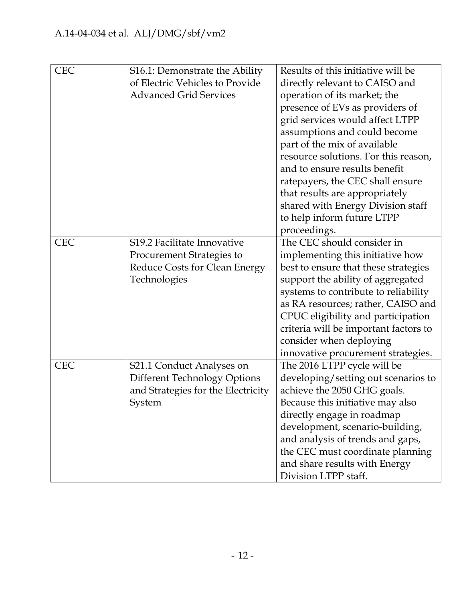| <b>CEC</b> | S16.1: Demonstrate the Ability      | Results of this initiative will be    |
|------------|-------------------------------------|---------------------------------------|
|            | of Electric Vehicles to Provide     | directly relevant to CAISO and        |
|            | <b>Advanced Grid Services</b>       | operation of its market; the          |
|            |                                     | presence of EVs as providers of       |
|            |                                     | grid services would affect LTPP       |
|            |                                     | assumptions and could become          |
|            |                                     | part of the mix of available          |
|            |                                     | resource solutions. For this reason,  |
|            |                                     | and to ensure results benefit         |
|            |                                     | ratepayers, the CEC shall ensure      |
|            |                                     | that results are appropriately        |
|            |                                     | shared with Energy Division staff     |
|            |                                     | to help inform future LTPP            |
|            |                                     | proceedings.                          |
| <b>CEC</b> | S19.2 Facilitate Innovative         | The CEC should consider in            |
|            | <b>Procurement Strategies to</b>    | implementing this initiative how      |
|            | Reduce Costs for Clean Energy       | best to ensure that these strategies  |
|            | Technologies                        | support the ability of aggregated     |
|            |                                     | systems to contribute to reliability  |
|            |                                     | as RA resources; rather, CAISO and    |
|            |                                     | CPUC eligibility and participation    |
|            |                                     | criteria will be important factors to |
|            |                                     | consider when deploying               |
|            |                                     | innovative procurement strategies.    |
| <b>CEC</b> | S21.1 Conduct Analyses on           | The 2016 LTPP cycle will be           |
|            | <b>Different Technology Options</b> | developing/setting out scenarios to   |
|            | and Strategies for the Electricity  | achieve the 2050 GHG goals.           |
|            | System                              | Because this initiative may also      |
|            |                                     | directly engage in roadmap            |
|            |                                     | development, scenario-building,       |
|            |                                     | and analysis of trends and gaps,      |
|            |                                     | the CEC must coordinate planning      |
|            |                                     | and share results with Energy         |
|            |                                     | Division LTPP staff.                  |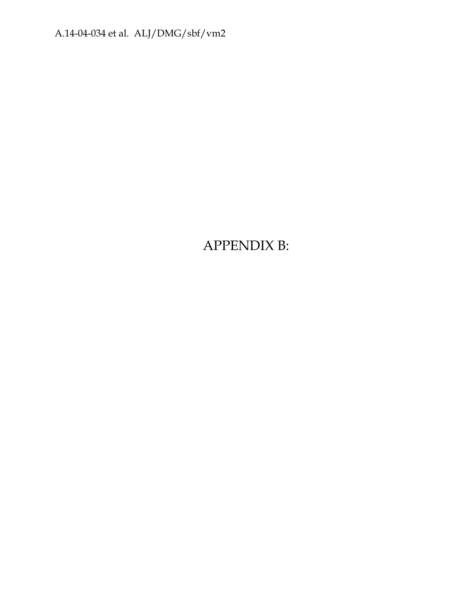A.14-04-034 et al. ALJ/DMG/sbf/vm2

APPENDIX B: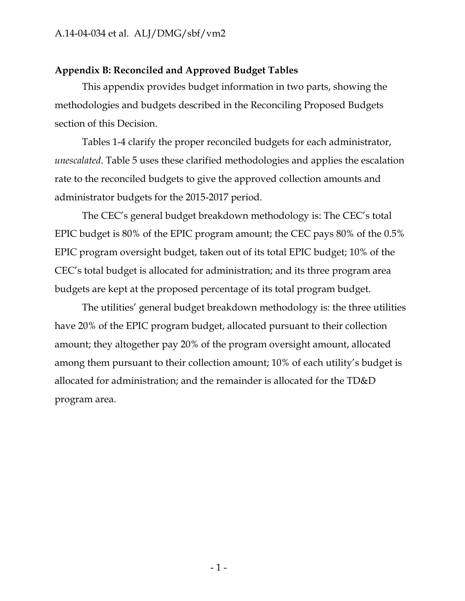#### **Appendix B: Reconciled and Approved Budget Tables**

This appendix provides budget information in two parts, showing the methodologies and budgets described in the Reconciling Proposed Budgets section of this Decision.

Tables 1-4 clarify the proper reconciled budgets for each administrator, *unescalated*. Table 5 uses these clarified methodologies and applies the escalation rate to the reconciled budgets to give the approved collection amounts and administrator budgets for the 2015-2017 period.

The CEC's general budget breakdown methodology is: The CEC's total EPIC budget is 80% of the EPIC program amount; the CEC pays 80% of the 0.5% EPIC program oversight budget, taken out of its total EPIC budget; 10% of the CEC's total budget is allocated for administration; and its three program area budgets are kept at the proposed percentage of its total program budget.

The utilities' general budget breakdown methodology is: the three utilities have 20% of the EPIC program budget, allocated pursuant to their collection amount; they altogether pay 20% of the program oversight amount, allocated among them pursuant to their collection amount; 10% of each utility's budget is allocated for administration; and the remainder is allocated for the TD&D program area.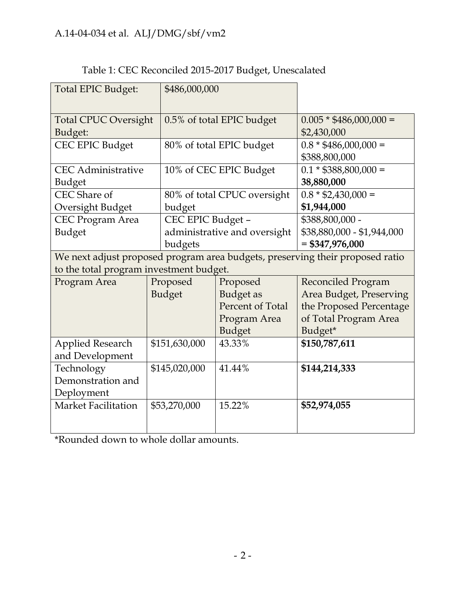| Total EPIC Budget:                      |  | \$486,000,000     |                              |                                                                               |
|-----------------------------------------|--|-------------------|------------------------------|-------------------------------------------------------------------------------|
|                                         |  |                   |                              |                                                                               |
| <b>Total CPUC Oversight</b>             |  |                   | 0.5% of total EPIC budget    | $0.005 * $486,000,000 =$                                                      |
| Budget:                                 |  |                   |                              | \$2,430,000                                                                   |
| <b>CEC EPIC Budget</b>                  |  |                   | 80% of total EPIC budget     | $0.8 * $486,000,000 =$                                                        |
|                                         |  |                   |                              | \$388,800,000                                                                 |
| <b>CEC</b> Administrative               |  |                   | 10% of CEC EPIC Budget       | $0.1 * $388,800,000 =$                                                        |
| Budget                                  |  |                   |                              | 38,880,000                                                                    |
| CEC Share of                            |  |                   | 80% of total CPUC oversight  | $0.8 * $2,430,000 =$                                                          |
| Oversight Budget                        |  | budget            |                              | \$1,944,000                                                                   |
| <b>CEC Program Area</b>                 |  | CEC EPIC Budget - |                              | \$388,800,000 -                                                               |
| Budget                                  |  |                   | administrative and oversight | \$38,880,000 - \$1,944,000                                                    |
|                                         |  | budgets           |                              | $= $347,976,000$                                                              |
|                                         |  |                   |                              | We next adjust proposed program area budgets, preserving their proposed ratio |
| to the total program investment budget. |  |                   |                              |                                                                               |
| Program Area                            |  | Proposed          | Proposed                     | Reconciled Program                                                            |
|                                         |  | <b>Budget</b>     | <b>Budget</b> as             | Area Budget, Preserving                                                       |
|                                         |  |                   | Percent of Total             | the Proposed Percentage                                                       |
|                                         |  |                   | Program Area                 | of Total Program Area                                                         |
|                                         |  |                   | <b>Budget</b>                | Budget*                                                                       |
| <b>Applied Research</b>                 |  | \$151,630,000     | 43.33%                       | \$150,787,611                                                                 |
| and Development                         |  |                   |                              |                                                                               |
| Technology                              |  | \$145,020,000     | 41.44%                       | \$144,214,333                                                                 |
| Demonstration and                       |  |                   |                              |                                                                               |
| Deployment                              |  |                   |                              |                                                                               |
| <b>Market Facilitation</b>              |  | \$53,270,000      | 15.22%                       | \$52,974,055                                                                  |
|                                         |  |                   |                              |                                                                               |
|                                         |  |                   |                              |                                                                               |

### Table 1: CEC Reconciled 2015-2017 Budget, Unescalated

\*Rounded down to whole dollar amounts.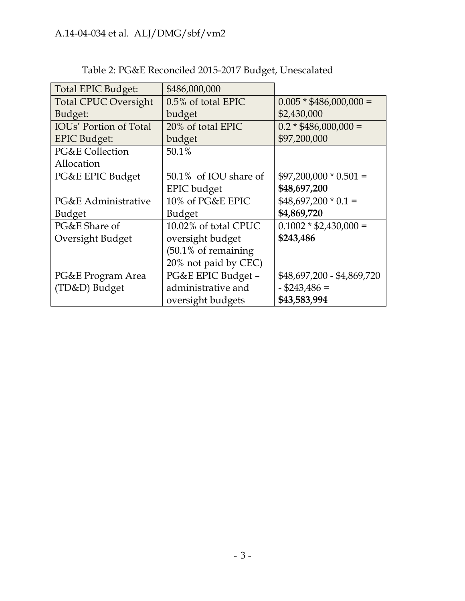| <b>Total EPIC Budget:</b>     | \$486,000,000                  |                            |
|-------------------------------|--------------------------------|----------------------------|
| <b>Total CPUC Oversight</b>   | 0.5% of total EPIC             | $0.005 * $486,000,000 =$   |
| Budget:                       | budget                         | \$2,430,000                |
| <b>IOUs' Portion of Total</b> | 20% of total EPIC              | $0.2 * $486,000,000 =$     |
| <b>EPIC Budget:</b>           | budget                         | \$97,200,000               |
| <b>PG&amp;E Collection</b>    | 50.1%                          |                            |
| Allocation                    |                                |                            |
| PG&E EPIC Budget              | 50.1% of IOU share of          | $$97,200,000 * 0.501 =$    |
|                               | <b>EPIC</b> budget             | \$48,697,200               |
| PG&E Administrative           | 10% of PG&E EPIC               | $$48,697,200 * 0.1 =$      |
| <b>Budget</b>                 | <b>Budget</b>                  | \$4,869,720                |
| PG&E Share of                 | 10.02% of total CPUC           | $0.1002 * $2,430,000 =$    |
| Oversight Budget              | oversight budget               | \$243,486                  |
|                               | $(50.1\% \text{ of remaining}$ |                            |
|                               | 20% not paid by CEC)           |                            |
| PG&E Program Area             | PG&E EPIC Budget -             | \$48,697,200 - \$4,869,720 |
| (TD&D) Budget                 | administrative and             | $-$ \$243,486 =            |
|                               | oversight budgets              | \$43,583,994               |

# Table 2: PG&E Reconciled 2015-2017 Budget, Unescalated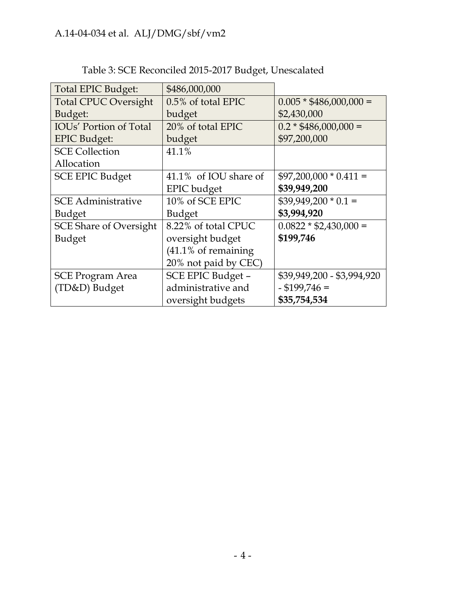| Total EPIC Budget:            | \$486,000,000                  |                            |
|-------------------------------|--------------------------------|----------------------------|
| <b>Total CPUC Oversight</b>   | 0.5% of total EPIC             | $0.005 * $486,000,000 =$   |
| Budget:                       | budget                         | \$2,430,000                |
| <b>IOUs'</b> Portion of Total | 20% of total EPIC              | $0.2 * $486,000,000 =$     |
| <b>EPIC Budget:</b>           | budget                         | \$97,200,000               |
| <b>SCE Collection</b>         | 41.1%                          |                            |
| Allocation                    |                                |                            |
| <b>SCE EPIC Budget</b>        | 41.1% of IOU share of          | $$97,200,000 * 0.411 =$    |
|                               | <b>EPIC</b> budget             | \$39,949,200               |
| <b>SCE Administrative</b>     | 10% of SCE EPIC                | $$39,949,200 * 0.1 =$      |
| <b>Budget</b>                 | <b>Budget</b>                  | \$3,994,920                |
| <b>SCE Share of Oversight</b> | 8.22% of total CPUC            | $0.0822 * $2,430,000 =$    |
| <b>Budget</b>                 | oversight budget               | \$199,746                  |
|                               | $(41.1\% \text{ of remaining}$ |                            |
|                               | 20% not paid by CEC)           |                            |
| <b>SCE Program Area</b>       | SCE EPIC Budget -              | \$39,949,200 - \$3,994,920 |
| (TD&D) Budget                 | administrative and             | $-$ \$199,746 =            |
|                               | oversight budgets              | \$35,754,534               |

# Table 3: SCE Reconciled 2015-2017 Budget, Unescalated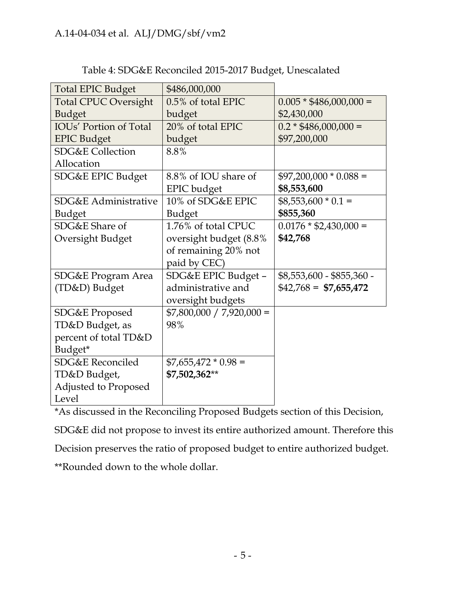| <b>Total EPIC Budget</b>      | \$486,000,000              |                           |
|-------------------------------|----------------------------|---------------------------|
| <b>Total CPUC Oversight</b>   | 0.5% of total EPIC         | $0.005 * $486,000,000 =$  |
| <b>Budget</b>                 | budget                     | \$2,430,000               |
| <b>IOUs' Portion of Total</b> | 20% of total EPIC          | $0.2 * $486,000,000 =$    |
| <b>EPIC Budget</b>            | budget                     | \$97,200,000              |
| <b>SDG&amp;E Collection</b>   | 8.8%                       |                           |
| Allocation                    |                            |                           |
| SDG&E EPIC Budget             | 8.8% of IOU share of       | $$97,200,000 * 0.088 =$   |
|                               | <b>EPIC</b> budget         | \$8,553,600               |
| SDG&E Administrative          | 10% of SDG&E EPIC          | $$8,553,600 * 0.1 =$      |
| <b>Budget</b>                 | <b>Budget</b>              | \$855,360                 |
| SDG&E Share of                | 1.76% of total CPUC        | $0.0176 * $2,430,000 =$   |
| Oversight Budget              | oversight budget (8.8%     | \$42,768                  |
|                               | of remaining 20% not       |                           |
|                               | paid by CEC)               |                           |
| SDG&E Program Area            | SDG&E EPIC Budget -        | \$8,553,600 - \$855,360 - |
| (TD&D) Budget                 | administrative and         | $$42,768 = $7,655,472$    |
|                               | oversight budgets          |                           |
| SDG&E Proposed                | $$7,800,000 / 7,920,000 =$ |                           |
| TD&D Budget, as               | 98%                        |                           |
| percent of total TD&D         |                            |                           |
| Budget*                       |                            |                           |
| <b>SDG&amp;E Reconciled</b>   | $$7,655,472 * 0.98 =$      |                           |
| TD&D Budget,                  | \$7,502,362**              |                           |
| Adjusted to Proposed          |                            |                           |
| Level                         |                            |                           |

Table 4: SDG&E Reconciled 2015-2017 Budget, Unescalated

\*As discussed in the Reconciling Proposed Budgets section of this Decision,

SDG&E did not propose to invest its entire authorized amount. Therefore this

Decision preserves the ratio of proposed budget to entire authorized budget.

\*\*Rounded down to the whole dollar.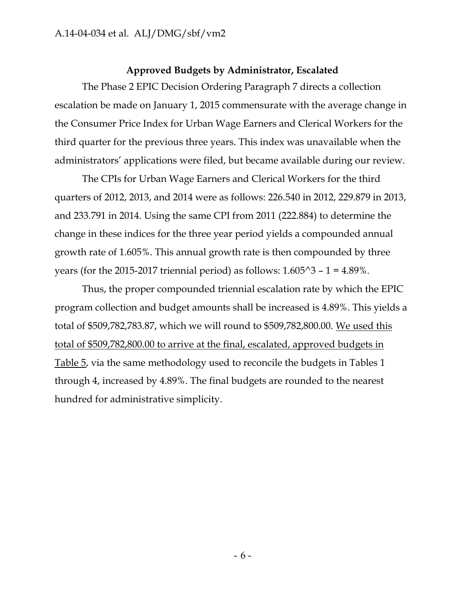#### **Approved Budgets by Administrator, Escalated**

The Phase 2 EPIC Decision Ordering Paragraph 7 directs a collection escalation be made on January 1, 2015 commensurate with the average change in the Consumer Price Index for Urban Wage Earners and Clerical Workers for the third quarter for the previous three years. This index was unavailable when the administrators' applications were filed, but became available during our review.

The CPIs for Urban Wage Earners and Clerical Workers for the third quarters of 2012, 2013, and 2014 were as follows: 226.540 in 2012, 229.879 in 2013, and 233.791 in 2014. Using the same CPI from 2011 (222.884) to determine the change in these indices for the three year period yields a compounded annual growth rate of 1.605%. This annual growth rate is then compounded by three years (for the 2015-2017 triennial period) as follows:  $1.605^{\text{A}}3 - 1 = 4.89\%$ .

Thus, the proper compounded triennial escalation rate by which the EPIC program collection and budget amounts shall be increased is 4.89%. This yields a total of \$509,782,783.87, which we will round to \$509,782,800.00. We used this total of \$509,782,800.00 to arrive at the final, escalated, approved budgets in Table 5, via the same methodology used to reconcile the budgets in Tables 1 through 4, increased by 4.89%. The final budgets are rounded to the nearest hundred for administrative simplicity.